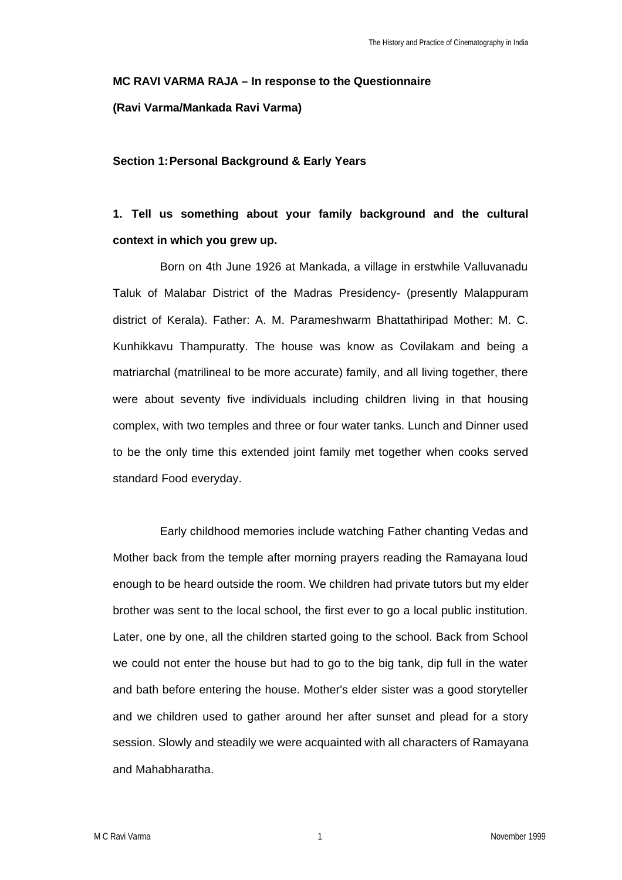# **MC RAVI VARMA RAJA – In response to the Questionnaire**

## **(Ravi Varma/Mankada Ravi Varma)**

### **Section 1:Personal Background & Early Years**

# **1. Tell us something about your family background and the cultural context in which you grew up.**

Born on 4th June 1926 at Mankada, a village in erstwhile Valluvanadu Taluk of Malabar District of the Madras Presidency- (presently Malappuram district of Kerala). Father: A. M. Parameshwarm Bhattathiripad Mother: M. C. Kunhikkavu Thampuratty. The house was know as Covilakam and being a matriarchal (matrilineal to be more accurate) family, and all living together, there were about seventy five individuals including children living in that housing complex, with two temples and three or four water tanks. Lunch and Dinner used to be the only time this extended joint family met together when cooks served standard Food everyday.

Early childhood memories include watching Father chanting Vedas and Mother back from the temple after morning prayers reading the Ramayana loud enough to be heard outside the room. We children had private tutors but my elder brother was sent to the local school, the first ever to go a local public institution. Later, one by one, all the children started going to the school. Back from School we could not enter the house but had to go to the big tank, dip full in the water and bath before entering the house. Mother's elder sister was a good storyteller and we children used to gather around her after sunset and plead for a story session. Slowly and steadily we were acquainted with all characters of Ramayana and Mahabharatha.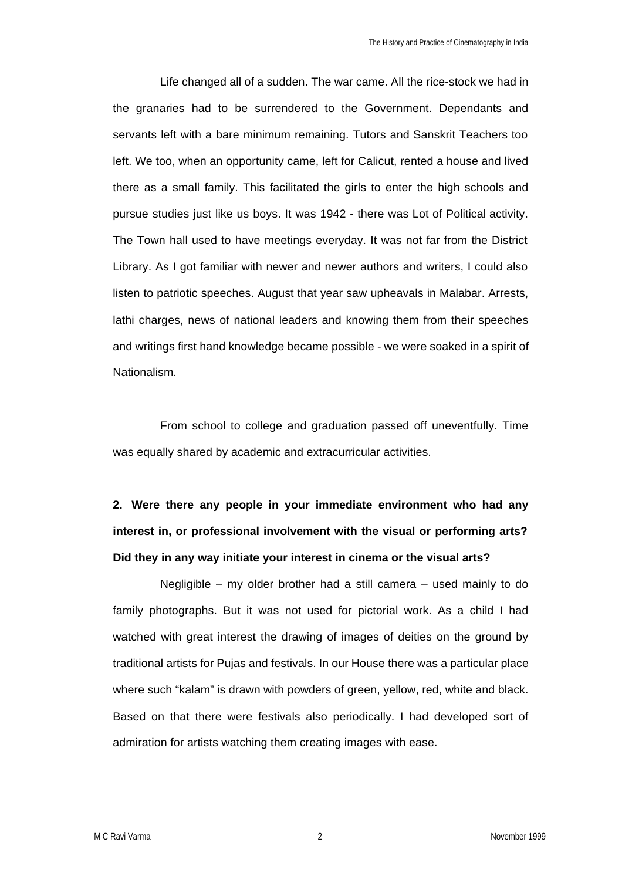Life changed all of a sudden. The war came. All the rice-stock we had in the granaries had to be surrendered to the Government. Dependants and servants left with a bare minimum remaining. Tutors and Sanskrit Teachers too left. We too, when an opportunity came, left for Calicut, rented a house and lived there as a small family. This facilitated the girls to enter the high schools and pursue studies just like us boys. It was 1942 - there was Lot of Political activity. The Town hall used to have meetings everyday. It was not far from the District Library. As I got familiar with newer and newer authors and writers, I could also listen to patriotic speeches. August that year saw upheavals in Malabar. Arrests, lathi charges, news of national leaders and knowing them from their speeches and writings first hand knowledge became possible - we were soaked in a spirit of Nationalism.

From school to college and graduation passed off uneventfully. Time was equally shared by academic and extracurricular activities.

# **2. Were there any people in your immediate environment who had any interest in, or professional involvement with the visual or performing arts? Did they in any way initiate your interest in cinema or the visual arts?**

Negligible – my older brother had a still camera – used mainly to do family photographs. But it was not used for pictorial work. As a child I had watched with great interest the drawing of images of deities on the ground by traditional artists for Pujas and festivals. In our House there was a particular place where such "kalam" is drawn with powders of green, yellow, red, white and black. Based on that there were festivals also periodically. I had developed sort of admiration for artists watching them creating images with ease.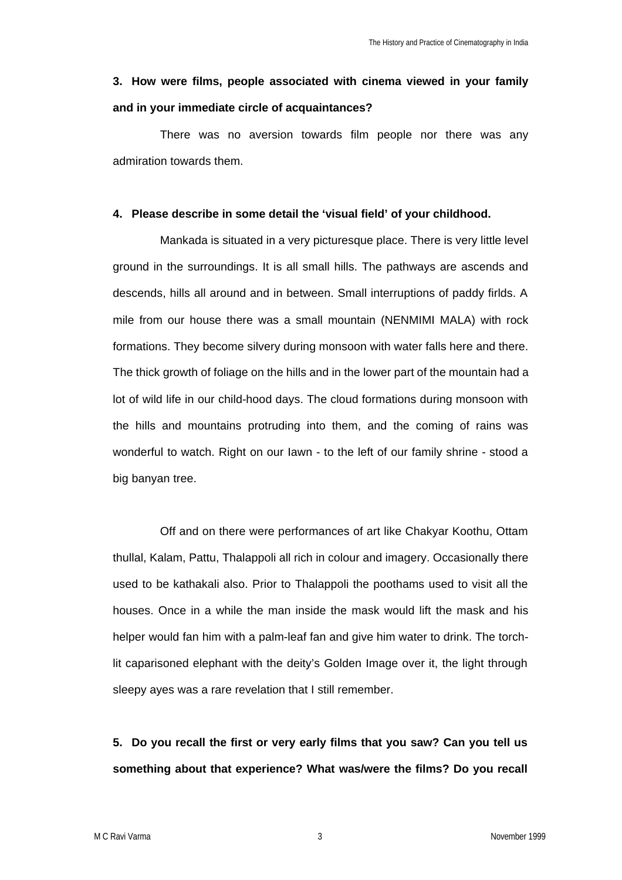## **3. How were films, people associated with cinema viewed in your family and in your immediate circle of acquaintances?**

There was no aversion towards film people nor there was any admiration towards them.

#### **4. Please describe in some detail the 'visual field' of your childhood.**

Mankada is situated in a very picturesque place. There is very little level ground in the surroundings. It is all small hills. The pathways are ascends and descends, hills all around and in between. Small interruptions of paddy firlds. A mile from our house there was a small mountain (NENMIMI MALA) with rock formations. They become silvery during monsoon with water falls here and there. The thick growth of foliage on the hills and in the lower part of the mountain had a lot of wild life in our child-hood days. The cloud formations during monsoon with the hills and mountains protruding into them, and the coming of rains was wonderful to watch. Right on our Iawn - to the left of our family shrine - stood a big banyan tree.

Off and on there were performances of art like Chakyar Koothu, Ottam thullal, Kalam, Pattu, Thalappoli all rich in colour and imagery. Occasionally there used to be kathakali also. Prior to Thalappoli the poothams used to visit all the houses. Once in a while the man inside the mask would lift the mask and his helper would fan him with a palm-leaf fan and give him water to drink. The torchlit caparisoned elephant with the deity's Golden Image over it, the light through sleepy ayes was a rare revelation that I still remember.

**5. Do you recall the first or very early films that you saw? Can you tell us something about that experience? What was/were the films? Do you recall**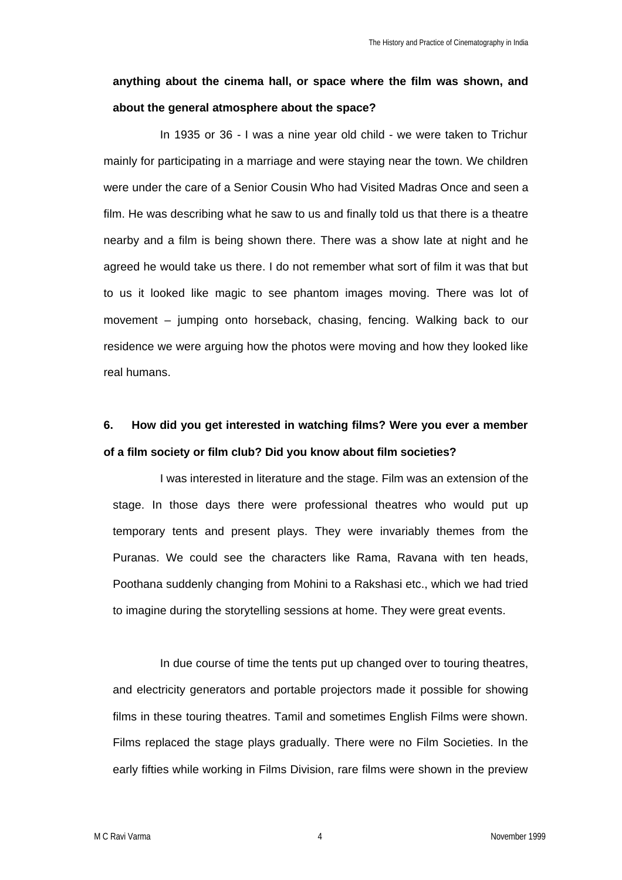## **anything about the cinema hall, or space where the film was shown, and about the general atmosphere about the space?**

In 1935 or 36 - I was a nine year old child - we were taken to Trichur mainly for participating in a marriage and were staying near the town. We children were under the care of a Senior Cousin Who had Visited Madras Once and seen a film. He was describing what he saw to us and finally told us that there is a theatre nearby and a film is being shown there. There was a show late at night and he agreed he would take us there. I do not remember what sort of film it was that but to us it looked like magic to see phantom images moving. There was lot of movement – jumping onto horseback, chasing, fencing. Walking back to our residence we were arguing how the photos were moving and how they looked like real humans.

# **6. How did you get interested in watching films? Were you ever a member of a film society or film club? Did you know about film societies?**

I was interested in literature and the stage. Film was an extension of the stage. In those days there were professional theatres who would put up temporary tents and present plays. They were invariably themes from the Puranas. We could see the characters like Rama, Ravana with ten heads, Poothana suddenly changing from Mohini to a Rakshasi etc., which we had tried to imagine during the storytelling sessions at home. They were great events.

In due course of time the tents put up changed over to touring theatres, and electricity generators and portable projectors made it possible for showing films in these touring theatres. Tamil and sometimes English Films were shown. Films replaced the stage plays gradually. There were no Film Societies. In the early fifties while working in Films Division, rare films were shown in the preview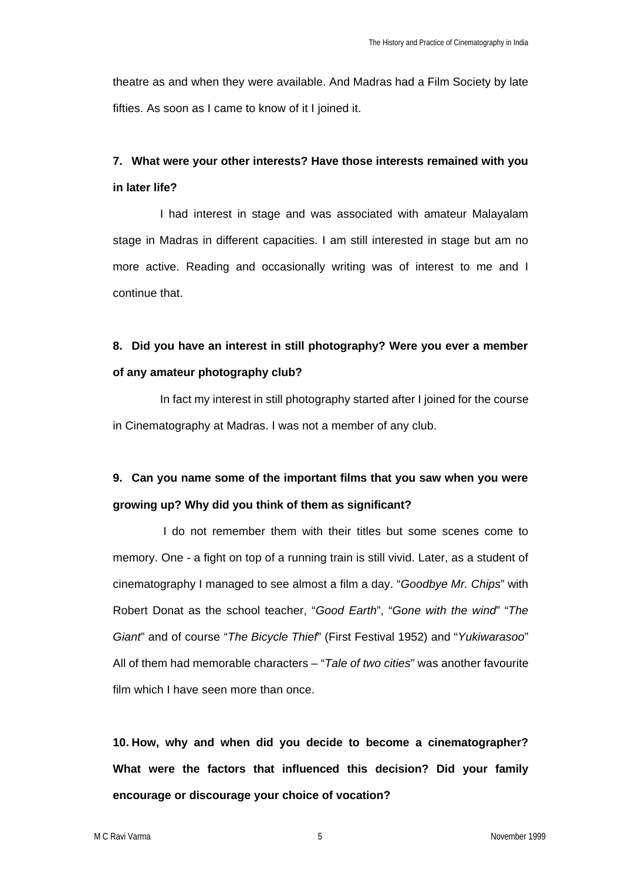theatre as and when they were available. And Madras had a Film Society by late fifties. As soon as I came to know of it I joined it.

# **7. What were your other interests? Have those interests remained with you in later life?**

I had interest in stage and was associated with amateur Malayalam stage in Madras in different capacities. I am still interested in stage but am no more active. Reading and occasionally writing was of interest to me and I continue that.

## **8. Did you have an interest in still photography? Were you ever a member of any amateur photography club?**

In fact my interest in still photography started after I joined for the course in Cinematography at Madras. I was not a member of any club.

# **9. Can you name some of the important films that you saw when you were growing up? Why did you think of them as significant?**

 I do not remember them with their titles but some scenes come to memory. One - a fight on top of a running train is still vivid. Later, as a student of cinematography I managed to see almost a film a day. "*Goodbye Mr. Chips*" with Robert Donat as the school teacher, "*Good Earth*", "*Gone with the wind*" "*The Giant*" and of course "*The Bicycle Thief*" (First Festival 1952) and "*Yukiwarasoo*" All of them had memorable characters – "*Tale of two cities*" was another favourite film which I have seen more than once.

**10. How, why and when did you decide to become a cinematographer? What were the factors that influenced this decision? Did your family encourage or discourage your choice of vocation?**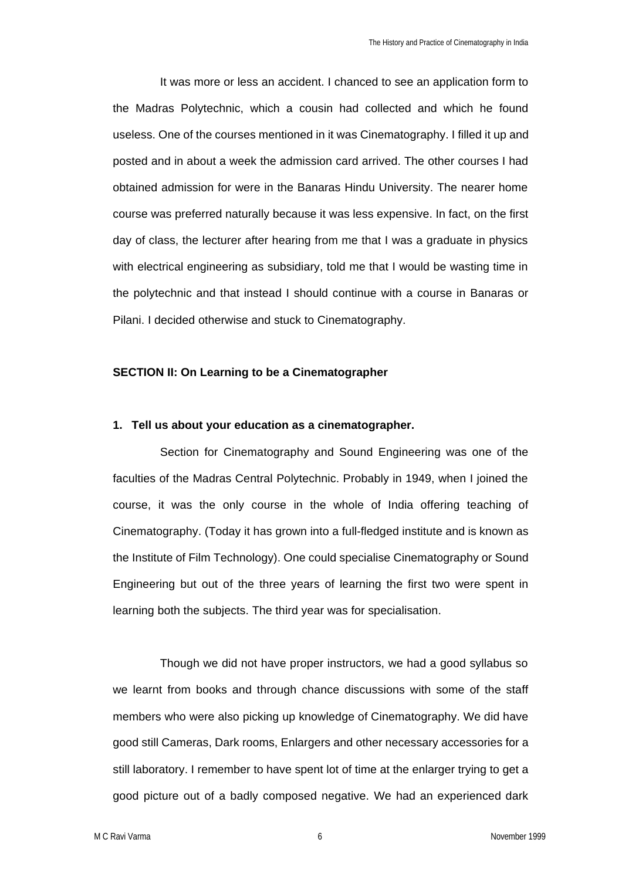It was more or less an accident. I chanced to see an application form to the Madras Polytechnic, which a cousin had collected and which he found useless. One of the courses mentioned in it was Cinematography. I filled it up and posted and in about a week the admission card arrived. The other courses I had obtained admission for were in the Banaras Hindu University. The nearer home course was preferred naturally because it was less expensive. In fact, on the first day of class, the lecturer after hearing from me that I was a graduate in physics with electrical engineering as subsidiary, told me that I would be wasting time in the polytechnic and that instead I should continue with a course in Banaras or Pilani. I decided otherwise and stuck to Cinematography.

### **SECTION II: On Learning to be a Cinematographer**

#### **1. Tell us about your education as a cinematographer.**

Section for Cinematography and Sound Engineering was one of the faculties of the Madras Central Polytechnic. Probably in 1949, when I joined the course, it was the only course in the whole of India offering teaching of Cinematography. (Today it has grown into a full-fledged institute and is known as the Institute of Film Technology). One could specialise Cinematography or Sound Engineering but out of the three years of learning the first two were spent in learning both the subjects. The third year was for specialisation.

Though we did not have proper instructors, we had a good syllabus so we learnt from books and through chance discussions with some of the staff members who were also picking up knowledge of Cinematography. We did have good still Cameras, Dark rooms, Enlargers and other necessary accessories for a still laboratory. I remember to have spent lot of time at the enlarger trying to get a good picture out of a badly composed negative. We had an experienced dark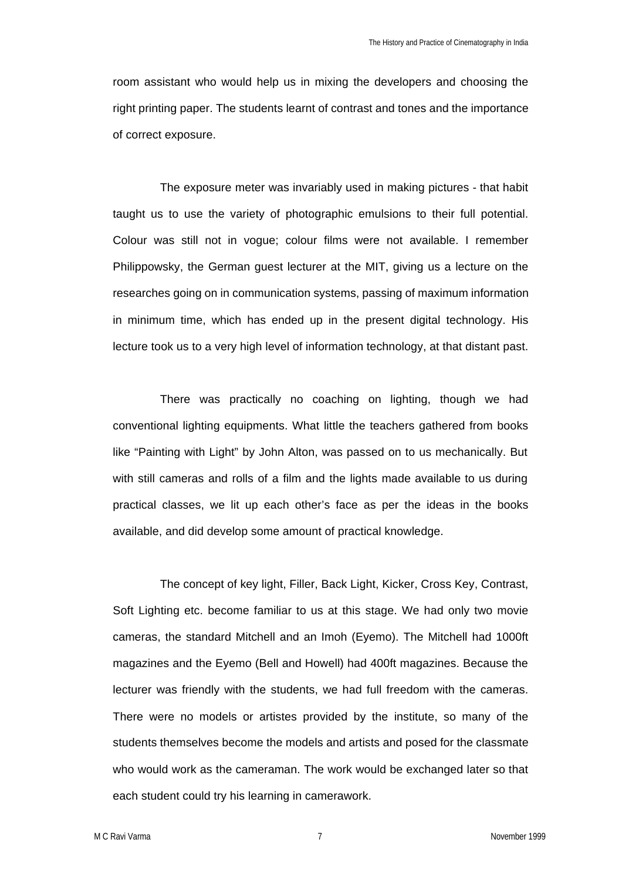room assistant who would help us in mixing the developers and choosing the right printing paper. The students learnt of contrast and tones and the importance of correct exposure.

The exposure meter was invariably used in making pictures - that habit taught us to use the variety of photographic emulsions to their full potential. Colour was still not in vogue; colour films were not available. I remember Philippowsky, the German guest lecturer at the MIT, giving us a lecture on the researches going on in communication systems, passing of maximum information in minimum time, which has ended up in the present digital technology. His lecture took us to a very high level of information technology, at that distant past.

There was practically no coaching on lighting, though we had conventional lighting equipments. What little the teachers gathered from books like "Painting with Light" by John Alton, was passed on to us mechanically. But with still cameras and rolls of a film and the lights made available to us during practical classes, we lit up each other's face as per the ideas in the books available, and did develop some amount of practical knowledge.

The concept of key light, Filler, Back Light, Kicker, Cross Key, Contrast, Soft Lighting etc. become familiar to us at this stage. We had only two movie cameras, the standard Mitchell and an Imoh (Eyemo). The Mitchell had 1000ft magazines and the Eyemo (Bell and Howell) had 400ft magazines. Because the lecturer was friendly with the students, we had full freedom with the cameras. There were no models or artistes provided by the institute, so many of the students themselves become the models and artists and posed for the classmate who would work as the cameraman. The work would be exchanged later so that each student could try his learning in camerawork.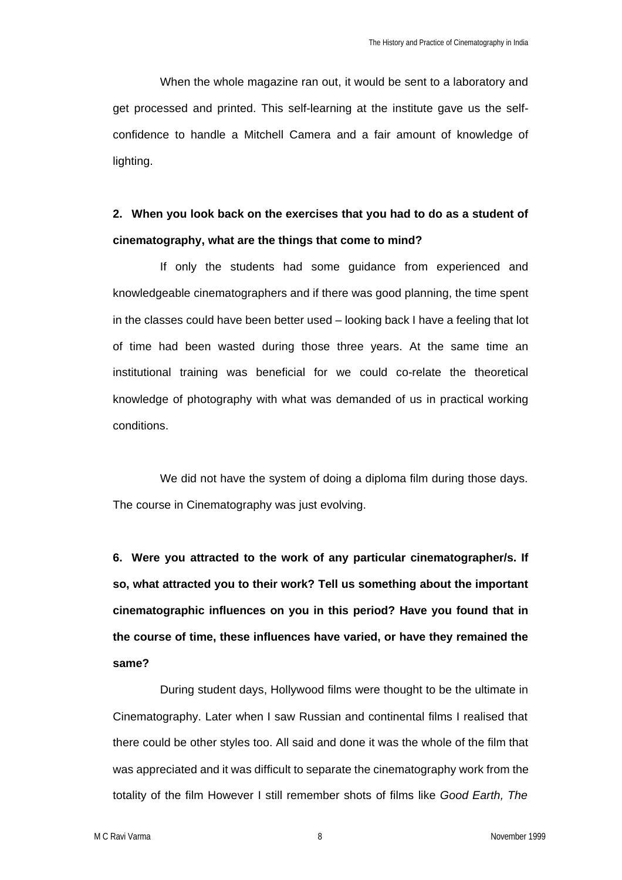When the whole magazine ran out, it would be sent to a laboratory and get processed and printed. This self-learning at the institute gave us the selfconfidence to handle a Mitchell Camera and a fair amount of knowledge of lighting.

## **2. When you look back on the exercises that you had to do as a student of cinematography, what are the things that come to mind?**

If only the students had some guidance from experienced and knowledgeable cinematographers and if there was good planning, the time spent in the classes could have been better used – looking back I have a feeling that lot of time had been wasted during those three years. At the same time an institutional training was beneficial for we could co-relate the theoretical knowledge of photography with what was demanded of us in practical working conditions.

We did not have the system of doing a diploma film during those days. The course in Cinematography was just evolving.

**6. Were you attracted to the work of any particular cinematographer/s. If so, what attracted you to their work? Tell us something about the important cinematographic influences on you in this period? Have you found that in the course of time, these influences have varied, or have they remained the same?**

During student days, Hollywood films were thought to be the ultimate in Cinematography. Later when I saw Russian and continental films I realised that there could be other styles too. All said and done it was the whole of the film that was appreciated and it was difficult to separate the cinematography work from the totality of the film However I still remember shots of films like *Good Earth, The*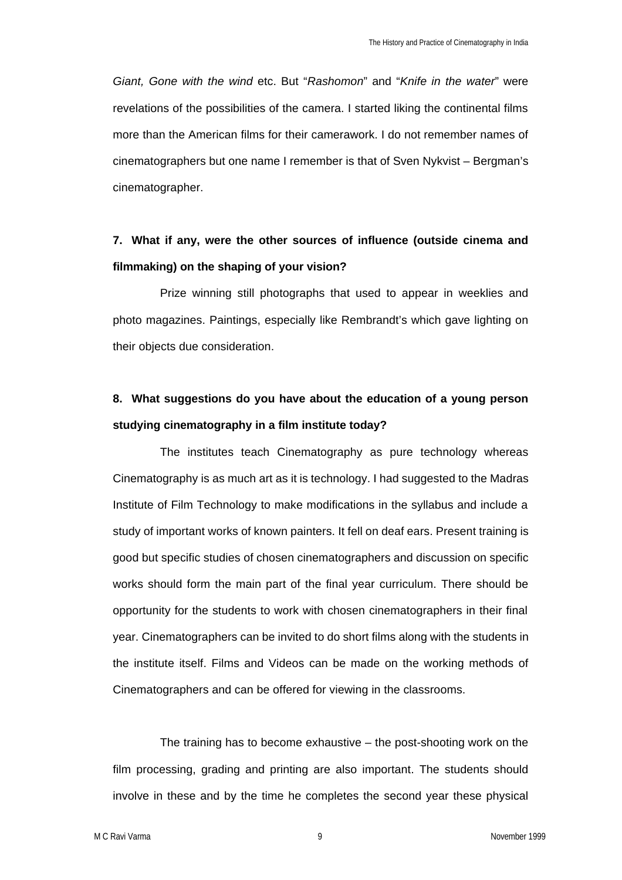*Giant, Gone with the wind* etc. But "*Rashomon*" and "*Knife in the water*" were revelations of the possibilities of the camera. I started liking the continental films more than the American films for their camerawork. I do not remember names of cinematographers but one name I remember is that of Sven Nykvist – Bergman's cinematographer.

## **7. What if any, were the other sources of influence (outside cinema and filmmaking) on the shaping of your vision?**

Prize winning still photographs that used to appear in weeklies and photo magazines. Paintings, especially like Rembrandt's which gave lighting on their objects due consideration.

## **8. What suggestions do you have about the education of a young person studying cinematography in a film institute today?**

The institutes teach Cinematography as pure technology whereas Cinematography is as much art as it is technology. I had suggested to the Madras Institute of Film Technology to make modifications in the syllabus and include a study of important works of known painters. It fell on deaf ears. Present training is good but specific studies of chosen cinematographers and discussion on specific works should form the main part of the final year curriculum. There should be opportunity for the students to work with chosen cinematographers in their final year. Cinematographers can be invited to do short films along with the students in the institute itself. Films and Videos can be made on the working methods of Cinematographers and can be offered for viewing in the classrooms.

The training has to become exhaustive – the post-shooting work on the film processing, grading and printing are also important. The students should involve in these and by the time he completes the second year these physical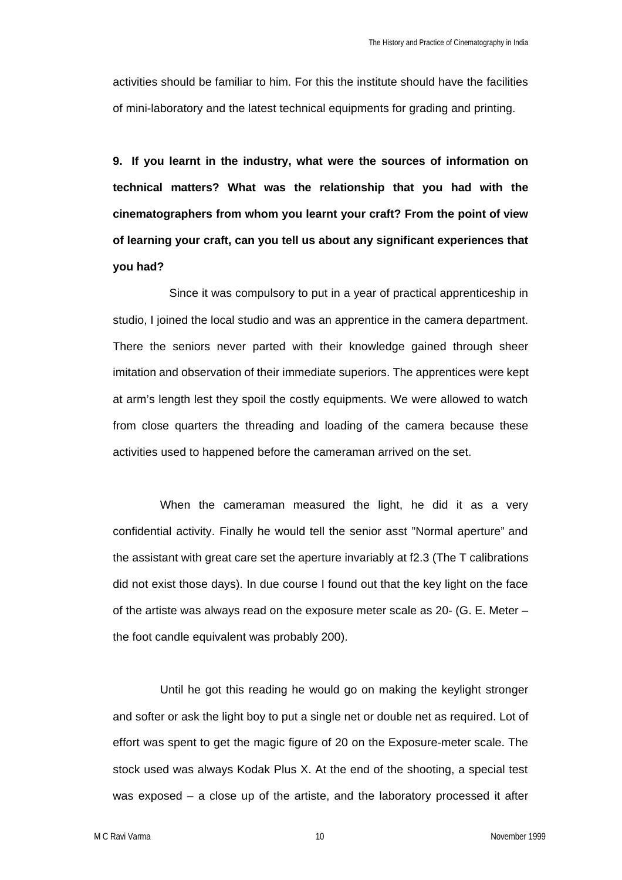activities should be familiar to him. For this the institute should have the facilities of mini-laboratory and the latest technical equipments for grading and printing.

**9. If you learnt in the industry, what were the sources of information on technical matters? What was the relationship that you had with the cinematographers from whom you learnt your craft? From the point of view of learning your craft, can you tell us about any significant experiences that you had?**

Since it was compulsory to put in a year of practical apprenticeship in studio, I joined the local studio and was an apprentice in the camera department. There the seniors never parted with their knowledge gained through sheer imitation and observation of their immediate superiors. The apprentices were kept at arm's length lest they spoil the costly equipments. We were allowed to watch from close quarters the threading and loading of the camera because these activities used to happened before the cameraman arrived on the set.

When the cameraman measured the light, he did it as a very confidential activity. Finally he would tell the senior asst "Normal aperture" and the assistant with great care set the aperture invariably at f2.3 (The T calibrations did not exist those days). In due course I found out that the key light on the face of the artiste was always read on the exposure meter scale as 20- (G. E. Meter – the foot candle equivalent was probably 200).

Until he got this reading he would go on making the keylight stronger and softer or ask the light boy to put a single net or double net as required. Lot of effort was spent to get the magic figure of 20 on the Exposure-meter scale. The stock used was always Kodak Plus X. At the end of the shooting, a special test was exposed – a close up of the artiste, and the laboratory processed it after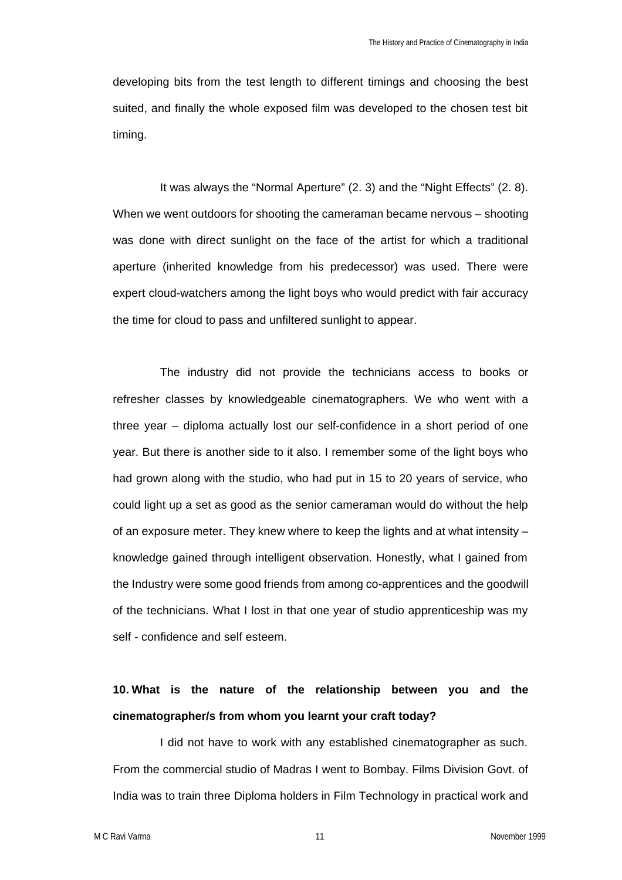developing bits from the test length to different timings and choosing the best suited, and finally the whole exposed film was developed to the chosen test bit timing.

It was always the "Normal Aperture" (2. 3) and the "Night Effects" (2. 8). When we went outdoors for shooting the cameraman became nervous – shooting was done with direct sunlight on the face of the artist for which a traditional aperture (inherited knowledge from his predecessor) was used. There were expert cloud-watchers among the light boys who would predict with fair accuracy the time for cloud to pass and unfiltered sunlight to appear.

The industry did not provide the technicians access to books or refresher classes by knowledgeable cinematographers. We who went with a three year – diploma actually lost our self-confidence in a short period of one year. But there is another side to it also. I remember some of the light boys who had grown along with the studio, who had put in 15 to 20 years of service, who could light up a set as good as the senior cameraman would do without the help of an exposure meter. They knew where to keep the lights and at what intensity – knowledge gained through intelligent observation. Honestly, what I gained from the Industry were some good friends from among co-apprentices and the goodwill of the technicians. What I lost in that one year of studio apprenticeship was my self - confidence and self esteem.

## **10. What is the nature of the relationship between you and the cinematographer/s from whom you learnt your craft today?**

I did not have to work with any established cinematographer as such. From the commercial studio of Madras I went to Bombay. Films Division Govt. of India was to train three Diploma holders in Film Technology in practical work and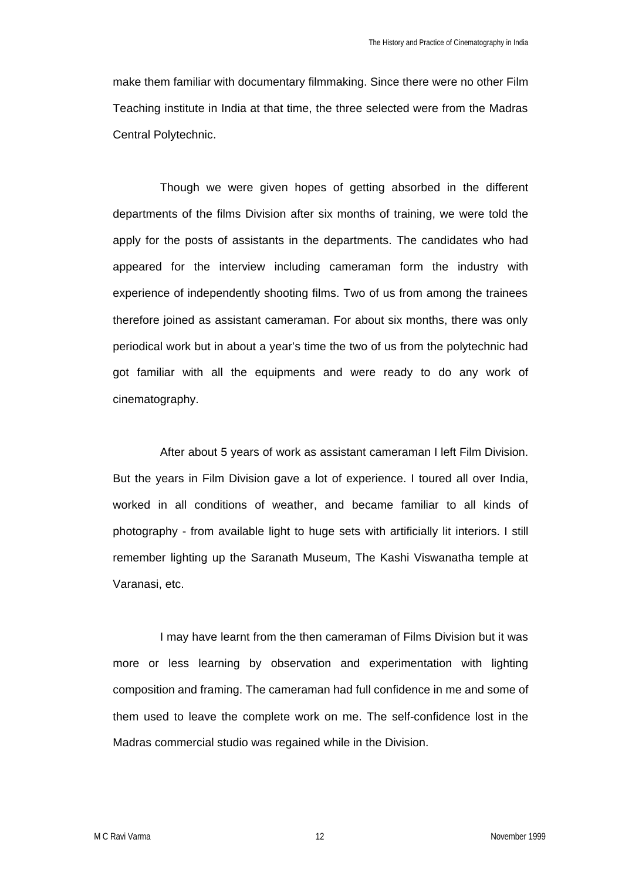make them familiar with documentary filmmaking. Since there were no other Film Teaching institute in India at that time, the three selected were from the Madras Central Polytechnic.

Though we were given hopes of getting absorbed in the different departments of the films Division after six months of training, we were told the apply for the posts of assistants in the departments. The candidates who had appeared for the interview including cameraman form the industry with experience of independently shooting films. Two of us from among the trainees therefore joined as assistant cameraman. For about six months, there was only periodical work but in about a year's time the two of us from the polytechnic had got familiar with all the equipments and were ready to do any work of cinematography.

After about 5 years of work as assistant cameraman I left Film Division. But the years in Film Division gave a lot of experience. I toured all over India, worked in all conditions of weather, and became familiar to all kinds of photography - from available light to huge sets with artificially lit interiors. I still remember lighting up the Saranath Museum, The Kashi Viswanatha temple at Varanasi, etc.

I may have learnt from the then cameraman of Films Division but it was more or less learning by observation and experimentation with lighting composition and framing. The cameraman had full confidence in me and some of them used to leave the complete work on me. The self-confidence lost in the Madras commercial studio was regained while in the Division.

M C Ravi Varma 2008 November 1999 November 1999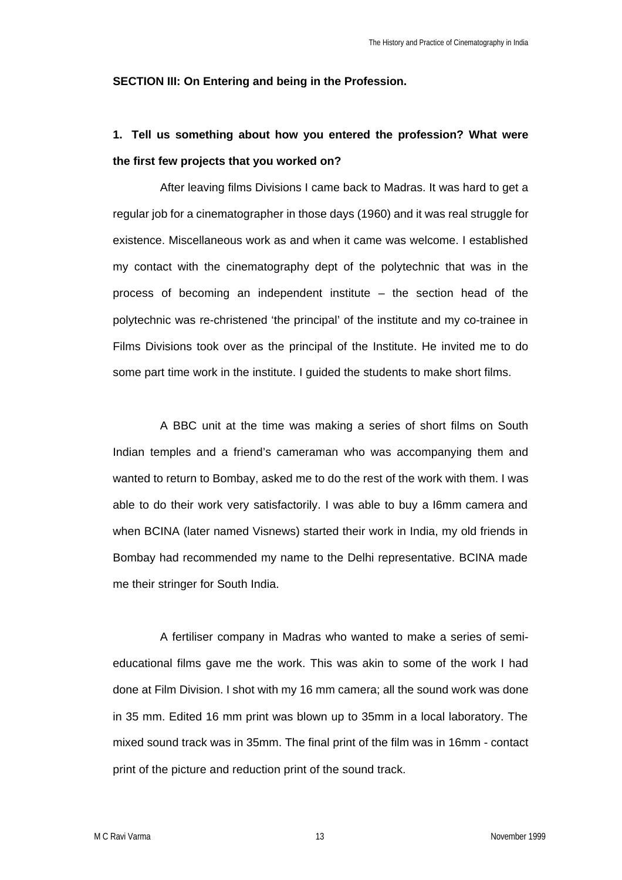#### **SECTION III: On Entering and being in the Profession.**

## **1. Tell us something about how you entered the profession? What were the first few projects that you worked on?**

After leaving films Divisions I came back to Madras. It was hard to get a regular job for a cinematographer in those days (1960) and it was real struggle for existence. Miscellaneous work as and when it came was welcome. I established my contact with the cinematography dept of the polytechnic that was in the process of becoming an independent institute – the section head of the polytechnic was re-christened 'the principal' of the institute and my co-trainee in Films Divisions took over as the principal of the Institute. He invited me to do some part time work in the institute. I guided the students to make short films.

A BBC unit at the time was making a series of short films on South Indian temples and a friend's cameraman who was accompanying them and wanted to return to Bombay, asked me to do the rest of the work with them. I was able to do their work very satisfactorily. I was able to buy a I6mm camera and when BCINA (later named Visnews) started their work in India, my old friends in Bombay had recommended my name to the Delhi representative. BCINA made me their stringer for South India.

A fertiliser company in Madras who wanted to make a series of semieducational films gave me the work. This was akin to some of the work I had done at Film Division. I shot with my 16 mm camera; all the sound work was done in 35 mm. Edited 16 mm print was blown up to 35mm in a local laboratory. The mixed sound track was in 35mm. The final print of the film was in 16mm - contact print of the picture and reduction print of the sound track.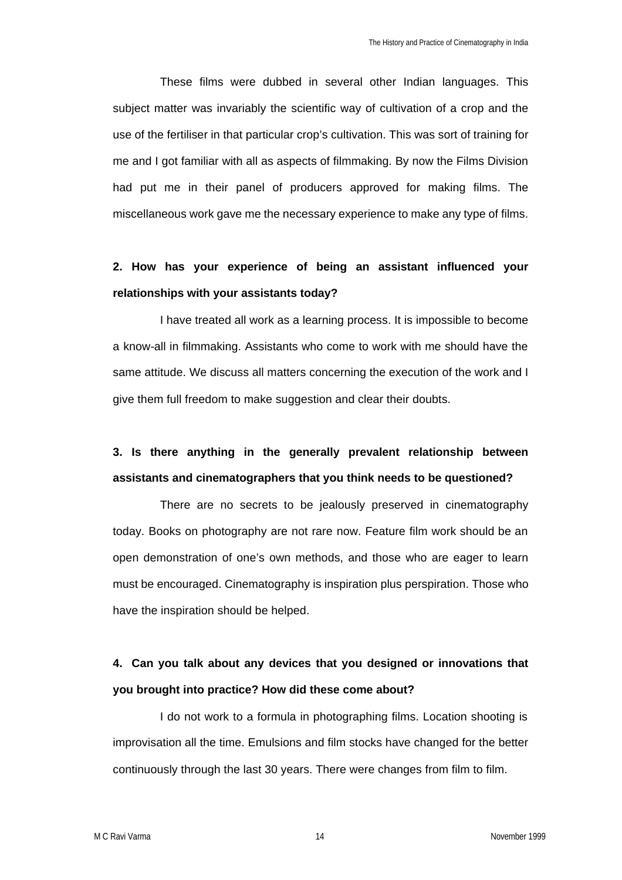These films were dubbed in several other Indian languages. This subject matter was invariably the scientific way of cultivation of a crop and the use of the fertiliser in that particular crop's cultivation. This was sort of training for me and I got familiar with all as aspects of filmmaking. By now the Films Division had put me in their panel of producers approved for making films. The miscellaneous work gave me the necessary experience to make any type of films.

## **2. How has your experience of being an assistant influenced your relationships with your assistants today?**

I have treated all work as a learning process. It is impossible to become a know-all in filmmaking. Assistants who come to work with me should have the same attitude. We discuss all matters concerning the execution of the work and I give them full freedom to make suggestion and clear their doubts.

## **3. Is there anything in the generally prevalent relationship between assistants and cinematographers that you think needs to be questioned?**

There are no secrets to be jealously preserved in cinematography today. Books on photography are not rare now. Feature film work should be an open demonstration of one's own methods, and those who are eager to learn must be encouraged. Cinematography is inspiration plus perspiration. Those who have the inspiration should be helped.

## **4. Can you talk about any devices that you designed or innovations that you brought into practice? How did these come about?**

I do not work to a formula in photographing films. Location shooting is improvisation all the time. Emulsions and film stocks have changed for the better continuously through the last 30 years. There were changes from film to film.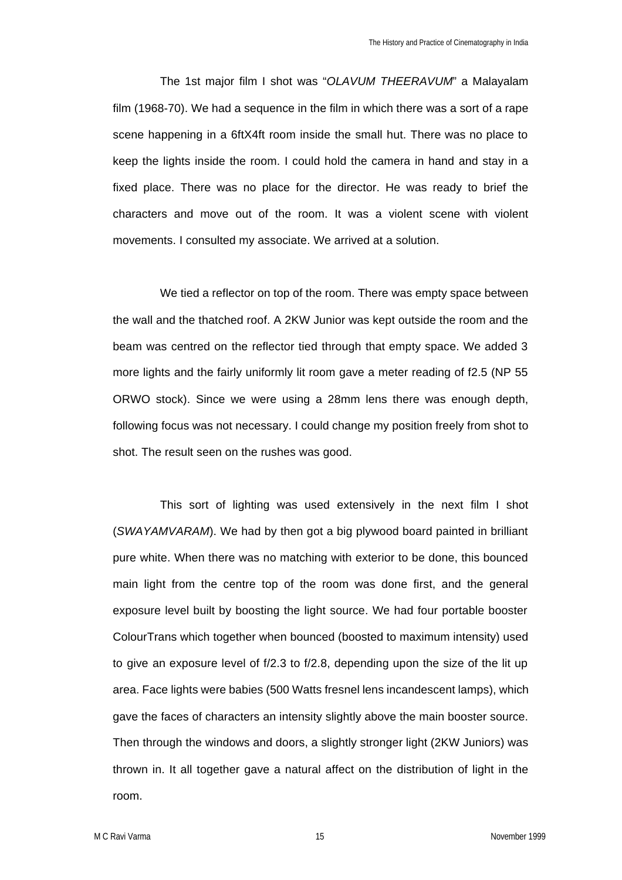The 1st major film I shot was "*OLAVUM THEERAVUM*" a Malayalam film (1968-70). We had a sequence in the film in which there was a sort of a rape scene happening in a 6ftX4ft room inside the small hut. There was no place to keep the lights inside the room. I could hold the camera in hand and stay in a fixed place. There was no place for the director. He was ready to brief the characters and move out of the room. It was a violent scene with violent movements. I consulted my associate. We arrived at a solution.

We tied a reflector on top of the room. There was empty space between the wall and the thatched roof. A 2KW Junior was kept outside the room and the beam was centred on the reflector tied through that empty space. We added 3 more lights and the fairly uniformly lit room gave a meter reading of f2.5 (NP 55 ORWO stock). Since we were using a 28mm lens there was enough depth, following focus was not necessary. I could change my position freely from shot to shot. The result seen on the rushes was good.

This sort of lighting was used extensively in the next film I shot (*SWAYAMVARAM*). We had by then got a big plywood board painted in brilliant pure white. When there was no matching with exterior to be done, this bounced main light from the centre top of the room was done first, and the general exposure level built by boosting the light source. We had four portable booster ColourTrans which together when bounced (boosted to maximum intensity) used to give an exposure level of f/2.3 to f/2.8, depending upon the size of the lit up area. Face lights were babies (500 Watts fresnel lens incandescent lamps), which gave the faces of characters an intensity slightly above the main booster source. Then through the windows and doors, a slightly stronger light (2KW Juniors) was thrown in. It all together gave a natural affect on the distribution of light in the room.

M C Ravi Varma 2008 15 November 1999 15 November 1999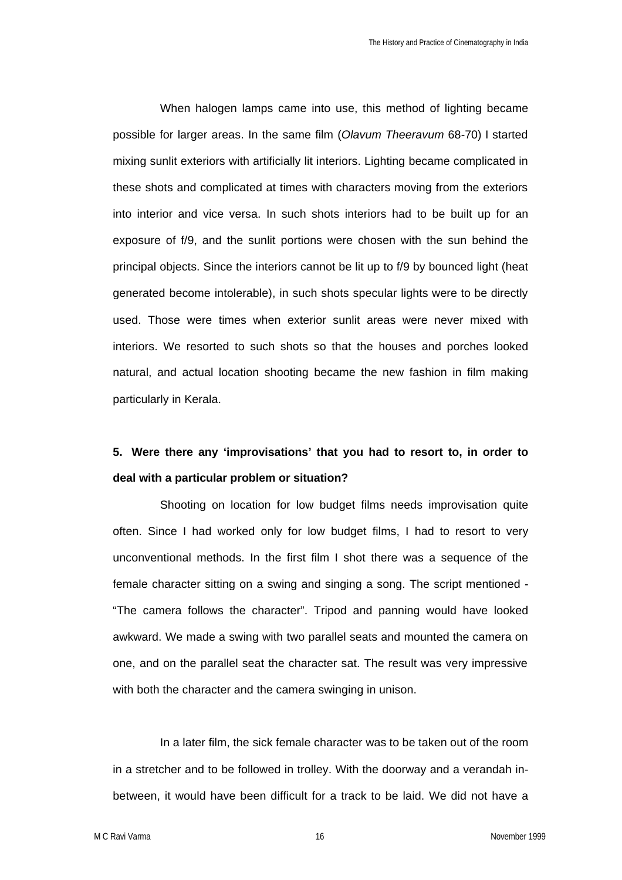When halogen lamps came into use, this method of lighting became possible for larger areas. In the same film (*Olavum Theeravum* 68-70) I started mixing sunlit exteriors with artificially lit interiors. Lighting became complicated in these shots and complicated at times with characters moving from the exteriors into interior and vice versa. In such shots interiors had to be built up for an exposure of f/9, and the sunlit portions were chosen with the sun behind the principal objects. Since the interiors cannot be lit up to f/9 by bounced light (heat generated become intolerable), in such shots specular lights were to be directly used. Those were times when exterior sunlit areas were never mixed with interiors. We resorted to such shots so that the houses and porches looked natural, and actual location shooting became the new fashion in film making particularly in Kerala.

## **5. Were there any 'improvisations' that you had to resort to, in order to deal with a particular problem or situation?**

Shooting on location for low budget films needs improvisation quite often. Since I had worked only for low budget films, I had to resort to very unconventional methods. In the first film I shot there was a sequence of the female character sitting on a swing and singing a song. The script mentioned - "The camera follows the character". Tripod and panning would have looked awkward. We made a swing with two parallel seats and mounted the camera on one, and on the parallel seat the character sat. The result was very impressive with both the character and the camera swinging in unison.

In a later film, the sick female character was to be taken out of the room in a stretcher and to be followed in trolley. With the doorway and a verandah inbetween, it would have been difficult for a track to be laid. We did not have a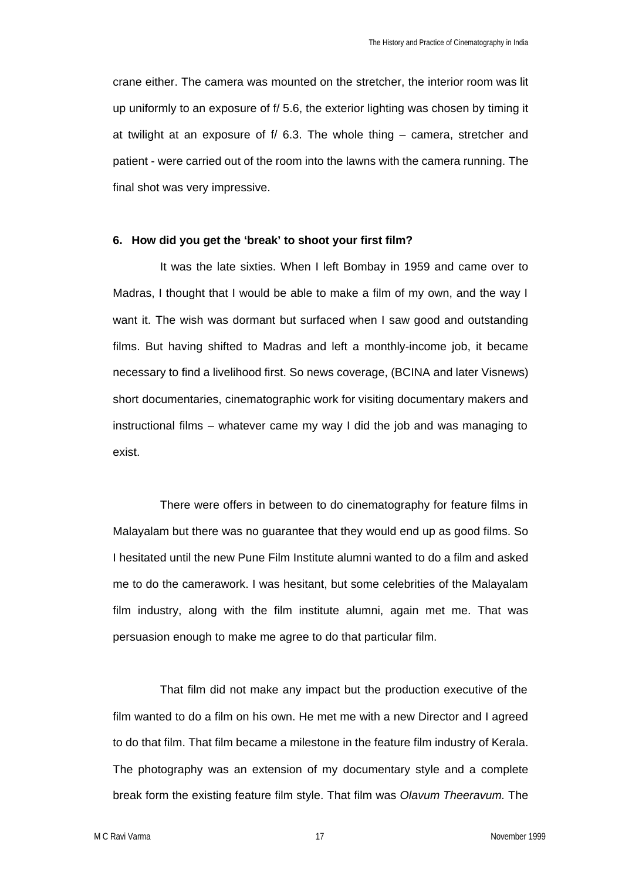crane either. The camera was mounted on the stretcher, the interior room was lit up uniformly to an exposure of f/ 5.6, the exterior lighting was chosen by timing it at twilight at an exposure of f/ 6.3. The whole thing – camera, stretcher and patient - were carried out of the room into the lawns with the camera running. The final shot was very impressive.

### **6. How did you get the 'break' to shoot your first film?**

It was the late sixties. When I left Bombay in 1959 and came over to Madras, I thought that I would be able to make a film of my own, and the way I want it. The wish was dormant but surfaced when I saw good and outstanding films. But having shifted to Madras and left a monthly-income job, it became necessary to find a livelihood first. So news coverage, (BCINA and later Visnews) short documentaries, cinematographic work for visiting documentary makers and instructional films – whatever came my way I did the job and was managing to exist.

There were offers in between to do cinematography for feature films in Malayalam but there was no guarantee that they would end up as good films. So I hesitated until the new Pune Film Institute alumni wanted to do a film and asked me to do the camerawork. I was hesitant, but some celebrities of the Malayalam film industry, along with the film institute alumni, again met me. That was persuasion enough to make me agree to do that particular film.

That film did not make any impact but the production executive of the film wanted to do a film on his own. He met me with a new Director and I agreed to do that film. That film became a milestone in the feature film industry of Kerala. The photography was an extension of my documentary style and a complete break form the existing feature film style. That film was *Olavum Theeravum.* The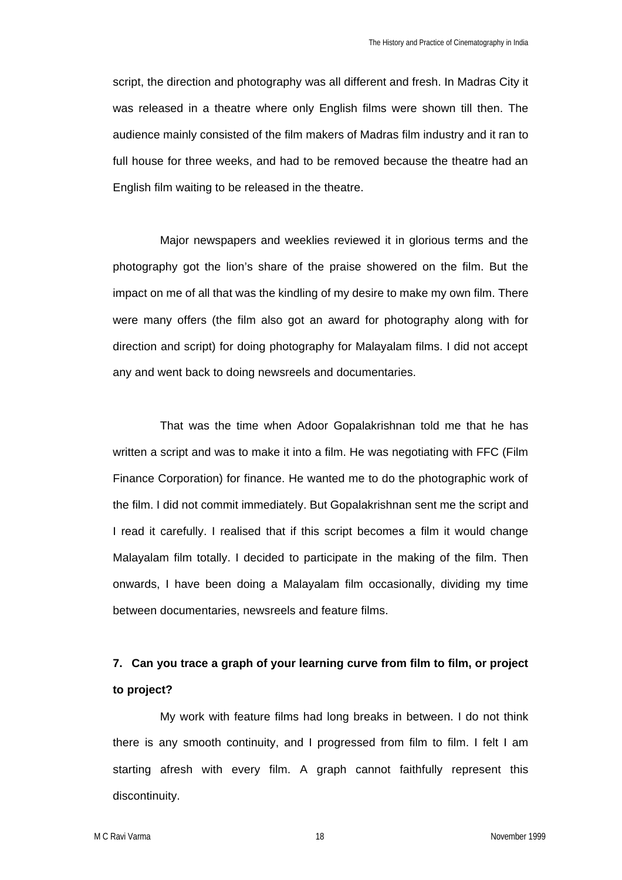script, the direction and photography was all different and fresh. In Madras City it was released in a theatre where only English films were shown till then. The audience mainly consisted of the film makers of Madras film industry and it ran to full house for three weeks, and had to be removed because the theatre had an English film waiting to be released in the theatre.

Major newspapers and weeklies reviewed it in glorious terms and the photography got the lion's share of the praise showered on the film. But the impact on me of all that was the kindling of my desire to make my own film. There were many offers (the film also got an award for photography along with for direction and script) for doing photography for Malayalam films. I did not accept any and went back to doing newsreels and documentaries.

That was the time when Adoor Gopalakrishnan told me that he has written a script and was to make it into a film. He was negotiating with FFC (Film Finance Corporation) for finance. He wanted me to do the photographic work of the film. I did not commit immediately. But Gopalakrishnan sent me the script and I read it carefully. I realised that if this script becomes a film it would change Malayalam film totally. I decided to participate in the making of the film. Then onwards, I have been doing a Malayalam film occasionally, dividing my time between documentaries, newsreels and feature films.

## **7. Can you trace a graph of your learning curve from film to film, or project to project?**

My work with feature films had long breaks in between. I do not think there is any smooth continuity, and I progressed from film to film. I felt I am starting afresh with every film. A graph cannot faithfully represent this discontinuity.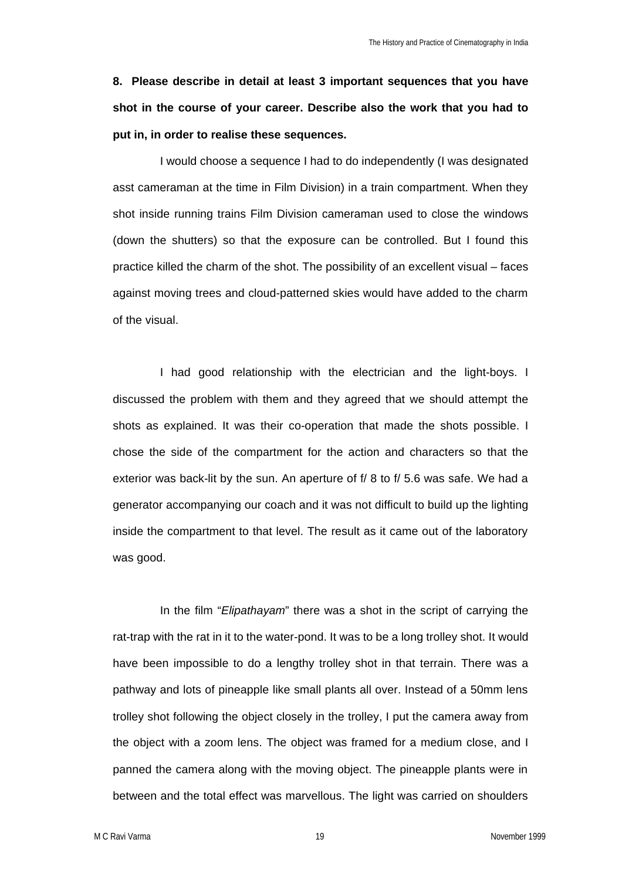**8. Please describe in detail at least 3 important sequences that you have shot in the course of your career. Describe also the work that you had to put in, in order to realise these sequences.**

I would choose a sequence I had to do independently (I was designated asst cameraman at the time in Film Division) in a train compartment. When they shot inside running trains Film Division cameraman used to close the windows (down the shutters) so that the exposure can be controlled. But I found this practice killed the charm of the shot. The possibility of an excellent visual – faces against moving trees and cloud-patterned skies would have added to the charm of the visual.

I had good relationship with the electrician and the light-boys. I discussed the problem with them and they agreed that we should attempt the shots as explained. It was their co-operation that made the shots possible. I chose the side of the compartment for the action and characters so that the exterior was back-lit by the sun. An aperture of f/ 8 to f/ 5.6 was safe. We had a generator accompanying our coach and it was not difficult to build up the lighting inside the compartment to that level. The result as it came out of the laboratory was good.

In the film "*Elipathayam*" there was a shot in the script of carrying the rat-trap with the rat in it to the water-pond. It was to be a long trolley shot. It would have been impossible to do a lengthy trolley shot in that terrain. There was a pathway and lots of pineapple like small plants all over. Instead of a 50mm lens trolley shot following the object closely in the trolley, I put the camera away from the object with a zoom lens. The object was framed for a medium close, and I panned the camera along with the moving object. The pineapple plants were in between and the total effect was marvellous. The light was carried on shoulders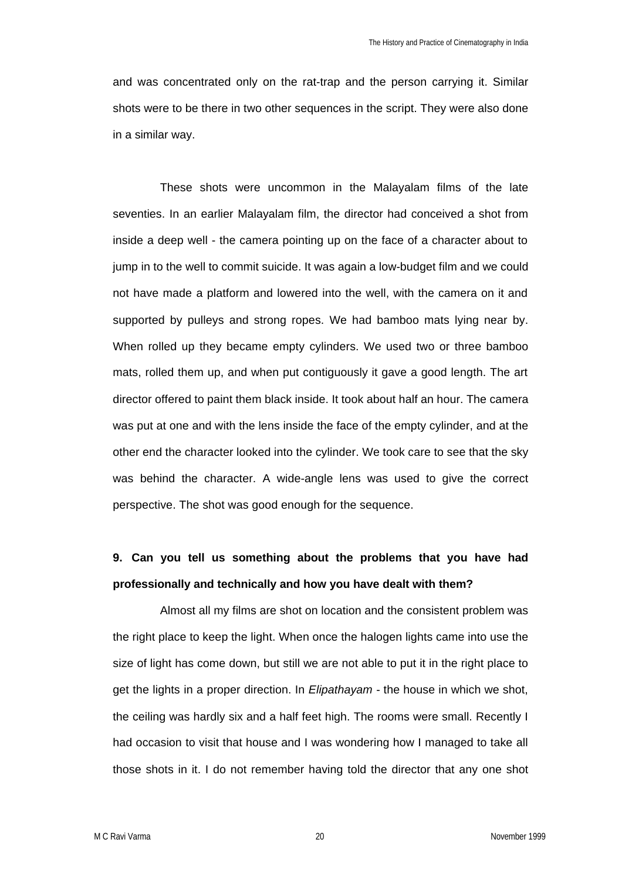and was concentrated only on the rat-trap and the person carrying it. Similar shots were to be there in two other sequences in the script. They were also done in a similar way.

These shots were uncommon in the Malayalam films of the late seventies. In an earlier Malayalam film, the director had conceived a shot from inside a deep well - the camera pointing up on the face of a character about to jump in to the well to commit suicide. It was again a low-budget film and we could not have made a platform and lowered into the well, with the camera on it and supported by pulleys and strong ropes. We had bamboo mats lying near by. When rolled up they became empty cylinders. We used two or three bamboo mats, rolled them up, and when put contiguously it gave a good length. The art director offered to paint them black inside. It took about half an hour. The camera was put at one and with the lens inside the face of the empty cylinder, and at the other end the character looked into the cylinder. We took care to see that the sky was behind the character. A wide-angle lens was used to give the correct perspective. The shot was good enough for the sequence.

# **9. Can you tell us something about the problems that you have had professionally and technically and how you have dealt with them?**

Almost all my films are shot on location and the consistent problem was the right place to keep the light. When once the halogen lights came into use the size of light has come down, but still we are not able to put it in the right place to get the lights in a proper direction. In *Elipathayam* - the house in which we shot, the ceiling was hardly six and a half feet high. The rooms were small. Recently I had occasion to visit that house and I was wondering how I managed to take all those shots in it. I do not remember having told the director that any one shot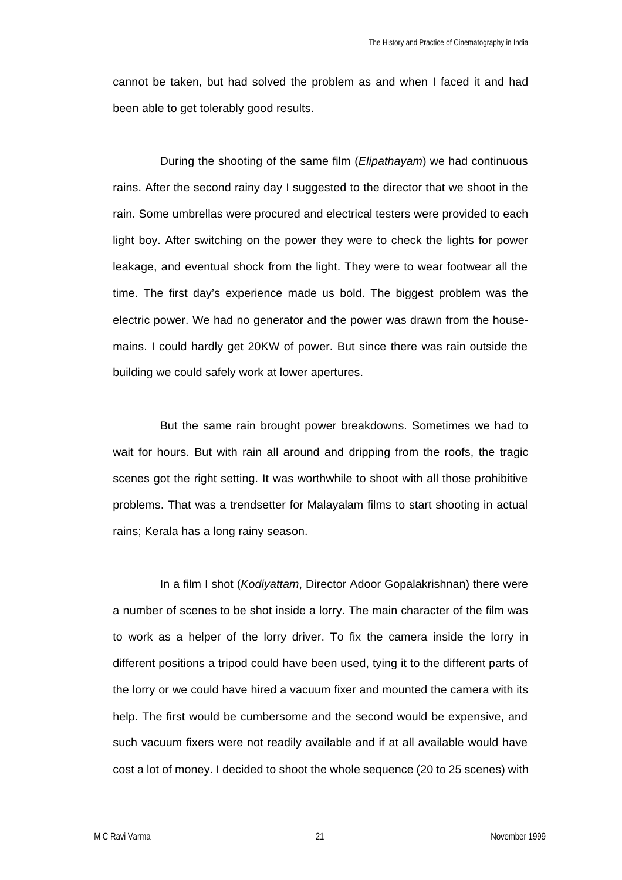cannot be taken, but had solved the problem as and when I faced it and had been able to get tolerably good results.

During the shooting of the same film (*Elipathayam*) we had continuous rains. After the second rainy day I suggested to the director that we shoot in the rain. Some umbrellas were procured and electrical testers were provided to each light boy. After switching on the power they were to check the lights for power leakage, and eventual shock from the light. They were to wear footwear all the time. The first day's experience made us bold. The biggest problem was the electric power. We had no generator and the power was drawn from the housemains. I could hardly get 20KW of power. But since there was rain outside the building we could safely work at lower apertures.

But the same rain brought power breakdowns. Sometimes we had to wait for hours. But with rain all around and dripping from the roofs, the tragic scenes got the right setting. It was worthwhile to shoot with all those prohibitive problems. That was a trendsetter for Malayalam films to start shooting in actual rains; Kerala has a long rainy season.

In a film I shot (*Kodiyattam*, Director Adoor Gopalakrishnan) there were a number of scenes to be shot inside a lorry. The main character of the film was to work as a helper of the lorry driver. To fix the camera inside the lorry in different positions a tripod could have been used, tying it to the different parts of the lorry or we could have hired a vacuum fixer and mounted the camera with its help. The first would be cumbersome and the second would be expensive, and such vacuum fixers were not readily available and if at all available would have cost a lot of money. I decided to shoot the whole sequence (20 to 25 scenes) with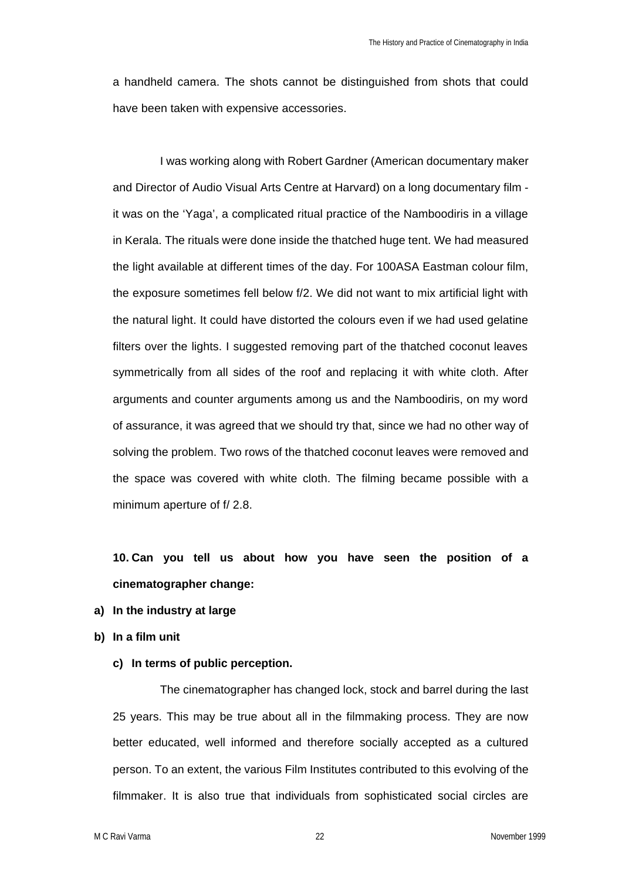a handheld camera. The shots cannot be distinguished from shots that could have been taken with expensive accessories.

I was working along with Robert Gardner (American documentary maker and Director of Audio Visual Arts Centre at Harvard) on a long documentary film it was on the 'Yaga', a complicated ritual practice of the Namboodiris in a village in Kerala. The rituals were done inside the thatched huge tent. We had measured the light available at different times of the day. For 100ASA Eastman colour film, the exposure sometimes fell below f/2. We did not want to mix artificial light with the natural light. It could have distorted the colours even if we had used gelatine filters over the lights. I suggested removing part of the thatched coconut leaves symmetrically from all sides of the roof and replacing it with white cloth. After arguments and counter arguments among us and the Namboodiris, on my word of assurance, it was agreed that we should try that, since we had no other way of solving the problem. Two rows of the thatched coconut leaves were removed and the space was covered with white cloth. The filming became possible with a minimum aperture of f/ 2.8.

**10. Can you tell us about how you have seen the position of a cinematographer change:** 

- **a) In the industry at large**
- **b) In a film unit** 
	- **c) In terms of public perception.**

The cinematographer has changed lock, stock and barrel during the last 25 years. This may be true about all in the filmmaking process. They are now better educated, well informed and therefore socially accepted as a cultured person. To an extent, the various Film Institutes contributed to this evolving of the filmmaker. It is also true that individuals from sophisticated social circles are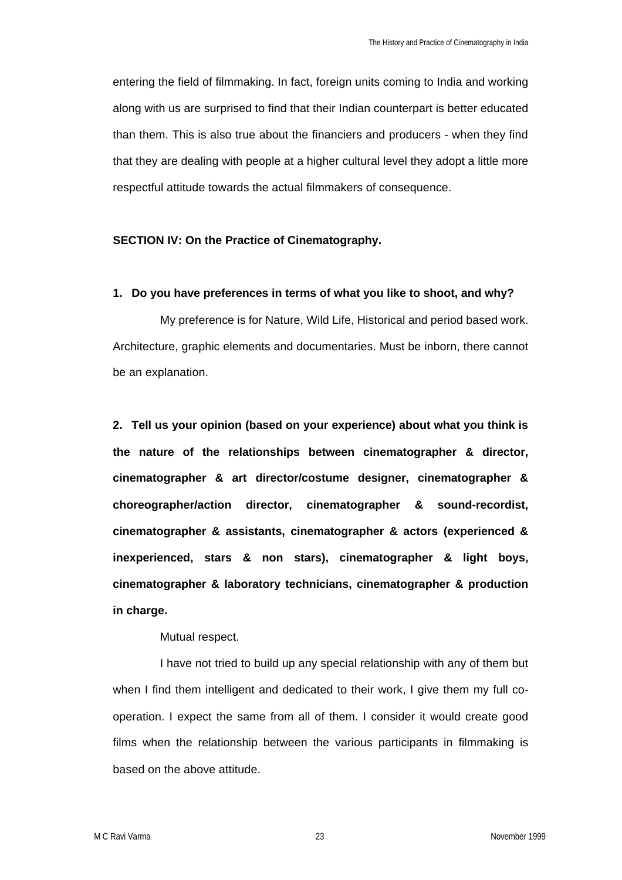entering the field of filmmaking. In fact, foreign units coming to India and working along with us are surprised to find that their Indian counterpart is better educated than them. This is also true about the financiers and producers - when they find that they are dealing with people at a higher cultural level they adopt a little more respectful attitude towards the actual filmmakers of consequence.

### **SECTION IV: On the Practice of Cinematography.**

### **1. Do you have preferences in terms of what you like to shoot, and why?**

My preference is for Nature, Wild Life, Historical and period based work. Architecture, graphic elements and documentaries. Must be inborn, there cannot be an explanation.

**2. Tell us your opinion (based on your experience) about what you think is the nature of the relationships between cinematographer & director, cinematographer & art director/costume designer, cinematographer & choreographer/action director, cinematographer & sound-recordist, cinematographer & assistants, cinematographer & actors (experienced & inexperienced, stars & non stars), cinematographer & light boys, cinematographer & laboratory technicians, cinematographer & production in charge.**

### Mutual respect.

I have not tried to build up any special relationship with any of them but when I find them intelligent and dedicated to their work, I give them my full cooperation. I expect the same from all of them. I consider it would create good films when the relationship between the various participants in filmmaking is based on the above attitude.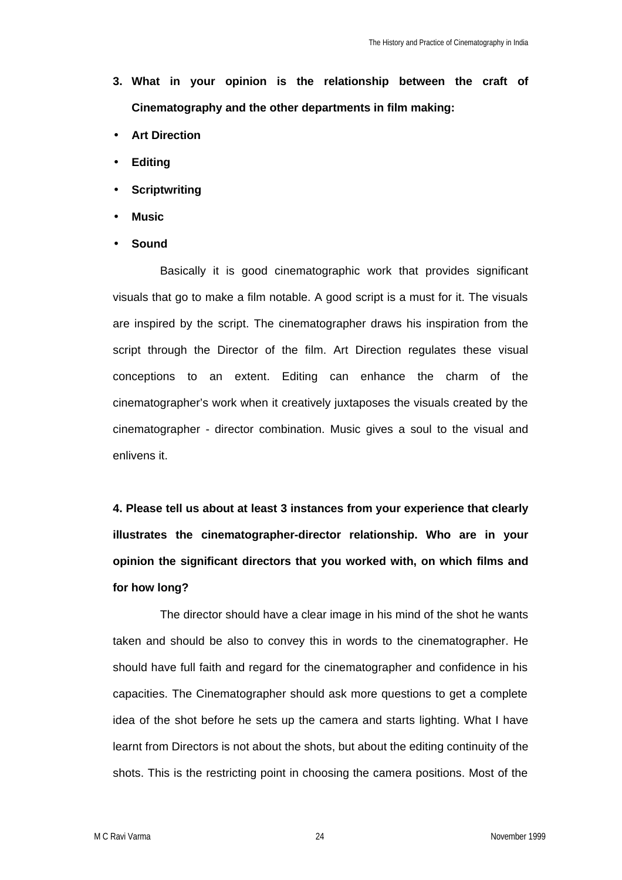- **3. What in your opinion is the relationship between the craft of Cinematography and the other departments in film making:**
- **Art Direction**
- **Editing**
- **Scriptwriting**
- **Music**
- **Sound**

Basically it is good cinematographic work that provides significant visuals that go to make a film notable. A good script is a must for it. The visuals are inspired by the script. The cinematographer draws his inspiration from the script through the Director of the film. Art Direction regulates these visual conceptions to an extent. Editing can enhance the charm of the cinematographer's work when it creatively juxtaposes the visuals created by the cinematographer - director combination. Music gives a soul to the visual and enlivens it.

**4. Please tell us about at least 3 instances from your experience that clearly illustrates the cinematographer-director relationship. Who are in your opinion the significant directors that you worked with, on which films and for how long?** 

The director should have a clear image in his mind of the shot he wants taken and should be also to convey this in words to the cinematographer. He should have full faith and regard for the cinematographer and confidence in his capacities. The Cinematographer should ask more questions to get a complete idea of the shot before he sets up the camera and starts lighting. What I have learnt from Directors is not about the shots, but about the editing continuity of the shots. This is the restricting point in choosing the camera positions. Most of the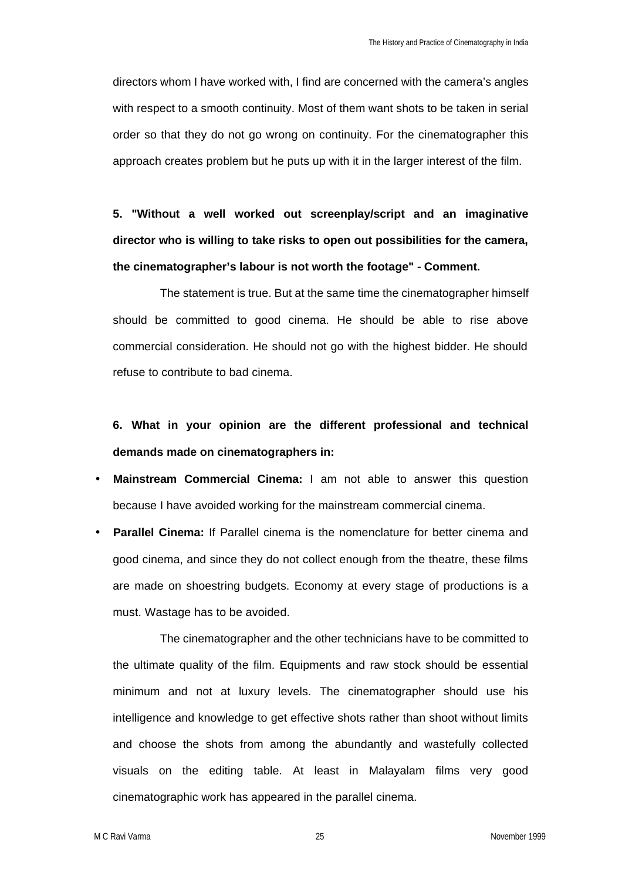directors whom I have worked with, I find are concerned with the camera's angles with respect to a smooth continuity. Most of them want shots to be taken in serial order so that they do not go wrong on continuity. For the cinematographer this approach creates problem but he puts up with it in the larger interest of the film.

**5. "Without a well worked out screenplay/script and an imaginative director who is willing to take risks to open out possibilities for the camera, the cinematographer's labour is not worth the footage" - Comment.**

The statement is true. But at the same time the cinematographer himself should be committed to good cinema. He should be able to rise above commercial consideration. He should not go with the highest bidder. He should refuse to contribute to bad cinema.

## **6. What in your opinion are the different professional and technical demands made on cinematographers in:**

- **Mainstream Commercial Cinema:** I am not able to answer this question because I have avoided working for the mainstream commercial cinema.
- **Parallel Cinema:** If Parallel cinema is the nomenclature for better cinema and good cinema, and since they do not collect enough from the theatre, these films are made on shoestring budgets. Economy at every stage of productions is a must. Wastage has to be avoided.

The cinematographer and the other technicians have to be committed to the ultimate quality of the film. Equipments and raw stock should be essential minimum and not at luxury levels. The cinematographer should use his intelligence and knowledge to get effective shots rather than shoot without limits and choose the shots from among the abundantly and wastefully collected visuals on the editing table. At least in Malayalam films very good cinematographic work has appeared in the parallel cinema.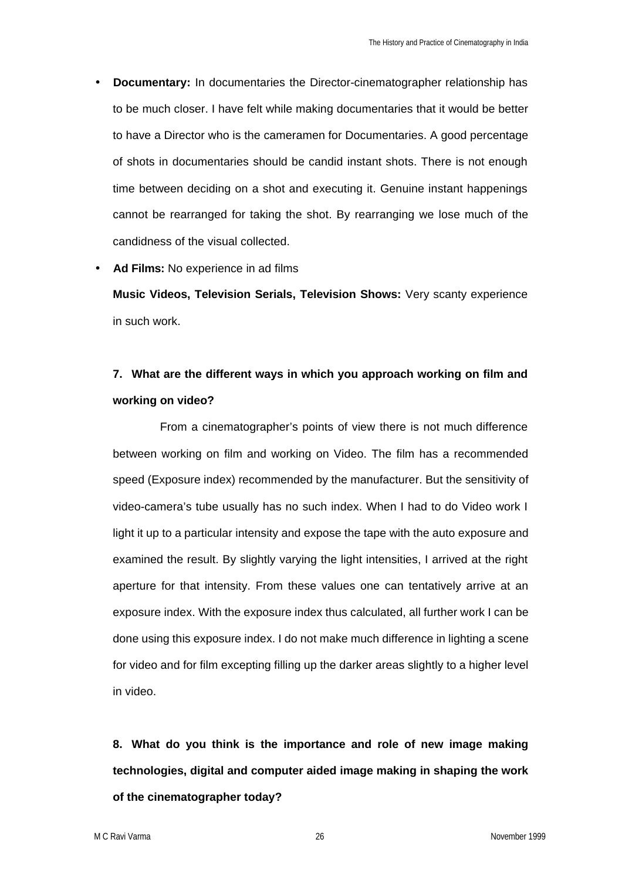• **Documentary:** In documentaries the Director-cinematographer relationship has to be much closer. I have felt while making documentaries that it would be better to have a Director who is the cameramen for Documentaries. A good percentage of shots in documentaries should be candid instant shots. There is not enough time between deciding on a shot and executing it. Genuine instant happenings cannot be rearranged for taking the shot. By rearranging we lose much of the candidness of the visual collected.

### • **Ad Films:** No experience in ad films

**Music Videos, Television Serials, Television Shows:** Very scanty experience in such work.

## **7. What are the different ways in which you approach working on film and working on video?**

From a cinematographer's points of view there is not much difference between working on film and working on Video. The film has a recommended speed (Exposure index) recommended by the manufacturer. But the sensitivity of video-camera's tube usually has no such index. When I had to do Video work I light it up to a particular intensity and expose the tape with the auto exposure and examined the result. By slightly varying the light intensities, I arrived at the right aperture for that intensity. From these values one can tentatively arrive at an exposure index. With the exposure index thus calculated, all further work I can be done using this exposure index. I do not make much difference in lighting a scene for video and for film excepting filling up the darker areas slightly to a higher level in video.

**8. What do you think is the importance and role of new image making technologies, digital and computer aided image making in shaping the work of the cinematographer today?**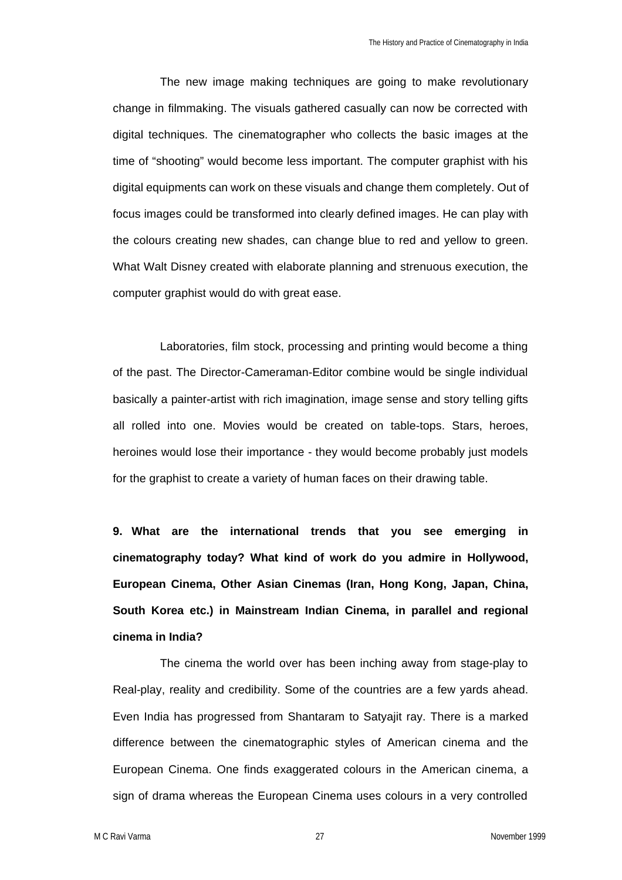The new image making techniques are going to make revolutionary change in filmmaking. The visuals gathered casually can now be corrected with digital techniques. The cinematographer who collects the basic images at the time of "shooting" would become less important. The computer graphist with his digital equipments can work on these visuals and change them completely. Out of focus images could be transformed into clearly defined images. He can play with the colours creating new shades, can change blue to red and yellow to green. What Walt Disney created with elaborate planning and strenuous execution, the computer graphist would do with great ease.

Laboratories, film stock, processing and printing would become a thing of the past. The Director-Cameraman-Editor combine would be single individual basically a painter-artist with rich imagination, image sense and story telling gifts all rolled into one. Movies would be created on table-tops. Stars, heroes, heroines would lose their importance - they would become probably just models for the graphist to create a variety of human faces on their drawing table.

**9. What are the international trends that you see emerging in cinematography today? What kind of work do you admire in Hollywood, European Cinema, Other Asian Cinemas (Iran, Hong Kong, Japan, China, South Korea etc.) in Mainstream Indian Cinema, in parallel and regional cinema in India?**

The cinema the world over has been inching away from stage-play to Real-play, reality and credibility. Some of the countries are a few yards ahead. Even India has progressed from Shantaram to Satyajit ray. There is a marked difference between the cinematographic styles of American cinema and the European Cinema. One finds exaggerated colours in the American cinema, a sign of drama whereas the European Cinema uses colours in a very controlled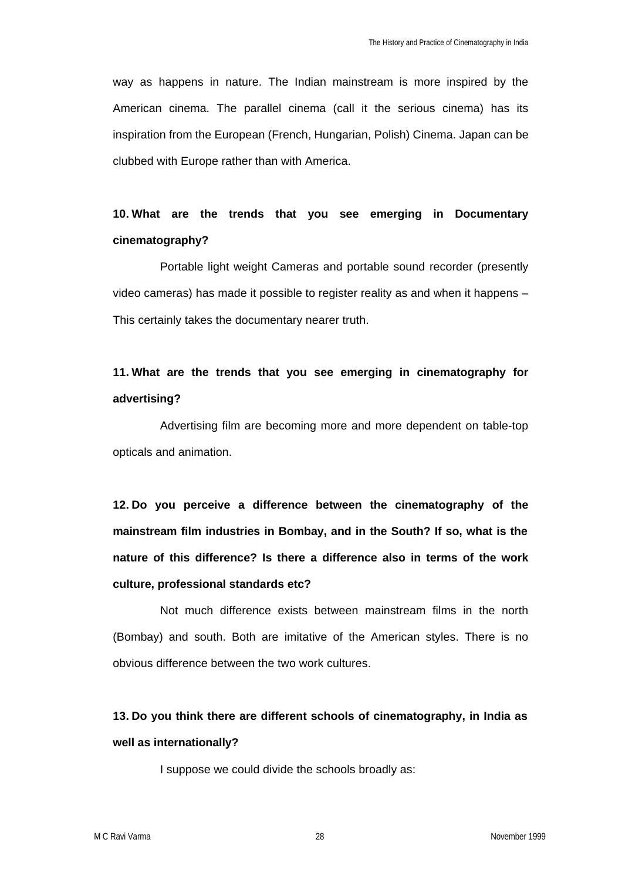way as happens in nature. The Indian mainstream is more inspired by the American cinema. The parallel cinema (call it the serious cinema) has its inspiration from the European (French, Hungarian, Polish) Cinema. Japan can be clubbed with Europe rather than with America.

## **10. What are the trends that you see emerging in Documentary cinematography?**

Portable light weight Cameras and portable sound recorder (presently video cameras) has made it possible to register reality as and when it happens – This certainly takes the documentary nearer truth.

## **11. What are the trends that you see emerging in cinematography for advertising?**

Advertising film are becoming more and more dependent on table-top opticals and animation.

**12. Do you perceive a difference between the cinematography of the mainstream film industries in Bombay, and in the South? If so, what is the nature of this difference? Is there a difference also in terms of the work culture, professional standards etc?**

Not much difference exists between mainstream films in the north (Bombay) and south. Both are imitative of the American styles. There is no obvious difference between the two work cultures.

## **13. Do you think there are different schools of cinematography, in India as well as internationally?**

I suppose we could divide the schools broadly as: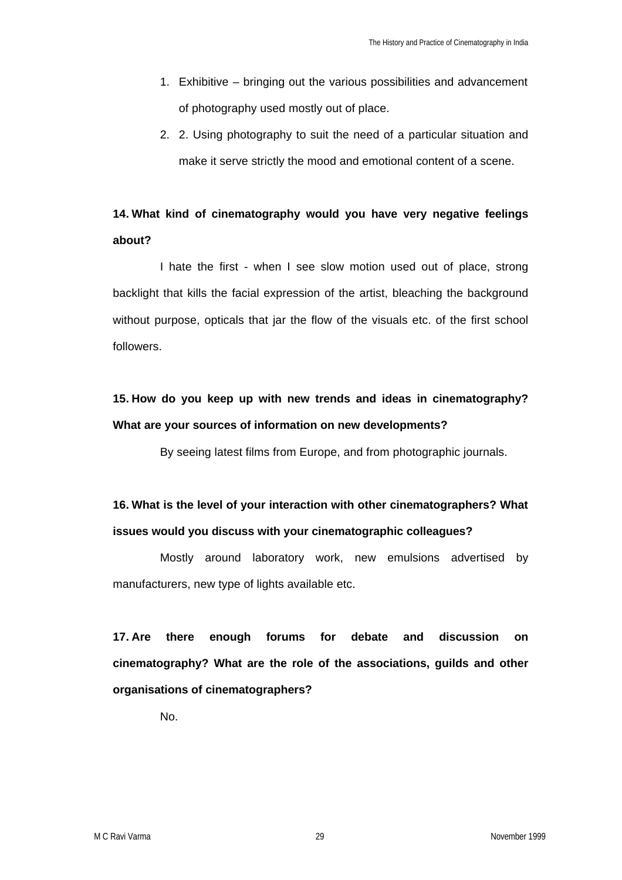- 1. Exhibitive bringing out the various possibilities and advancement of photography used mostly out of place.
- 2. 2. Using photography to suit the need of a particular situation and make it serve strictly the mood and emotional content of a scene.

# **14. What kind of cinematography would you have very negative feelings about?**

I hate the first - when I see slow motion used out of place, strong backlight that kills the facial expression of the artist, bleaching the background without purpose, opticals that jar the flow of the visuals etc. of the first school followers.

## **15. How do you keep up with new trends and ideas in cinematography? What are your sources of information on new developments?**

By seeing latest films from Europe, and from photographic journals.

## **16. What is the level of your interaction with other cinematographers? What issues would you discuss with your cinematographic colleagues?**

Mostly around laboratory work, new emulsions advertised by manufacturers, new type of lights available etc.

**17. Are there enough forums for debate and discussion on cinematography? What are the role of the associations, guilds and other organisations of cinematographers?**

No.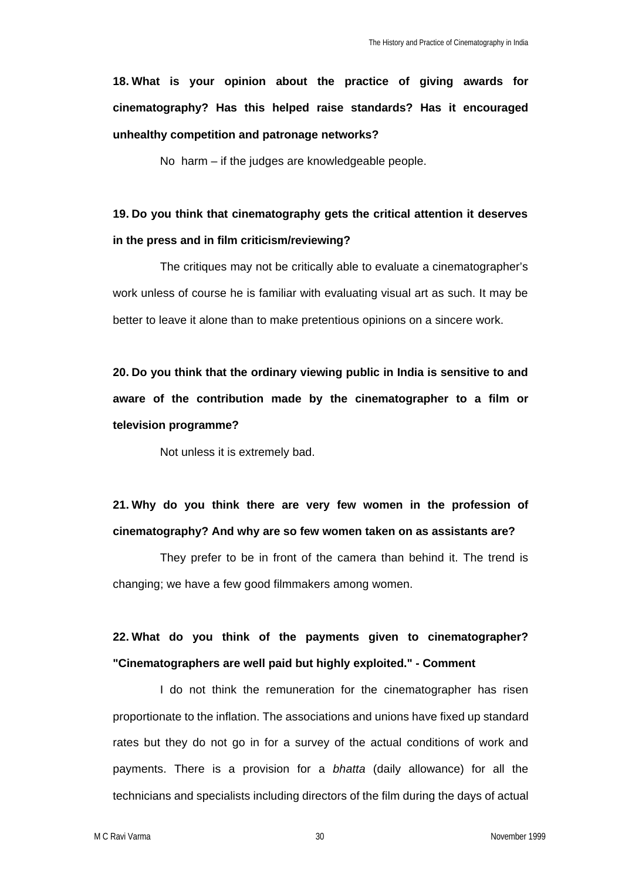**18. What is your opinion about the practice of giving awards for cinematography? Has this helped raise standards? Has it encouraged unhealthy competition and patronage networks?**

No harm – if the judges are knowledgeable people.

## **19. Do you think that cinematography gets the critical attention it deserves in the press and in film criticism/reviewing?**

The critiques may not be critically able to evaluate a cinematographer's work unless of course he is familiar with evaluating visual art as such. It may be better to leave it alone than to make pretentious opinions on a sincere work.

**20. Do you think that the ordinary viewing public in India is sensitive to and aware of the contribution made by the cinematographer to a film or television programme?**

Not unless it is extremely bad.

**21. Why do you think there are very few women in the profession of cinematography? And why are so few women taken on as assistants are?**

They prefer to be in front of the camera than behind it. The trend is changing; we have a few good filmmakers among women.

## **22. What do you think of the payments given to cinematographer? "Cinematographers are well paid but highly exploited." - Comment**

I do not think the remuneration for the cinematographer has risen proportionate to the inflation. The associations and unions have fixed up standard rates but they do not go in for a survey of the actual conditions of work and payments. There is a provision for a *bhatta* (daily allowance) for all the technicians and specialists including directors of the film during the days of actual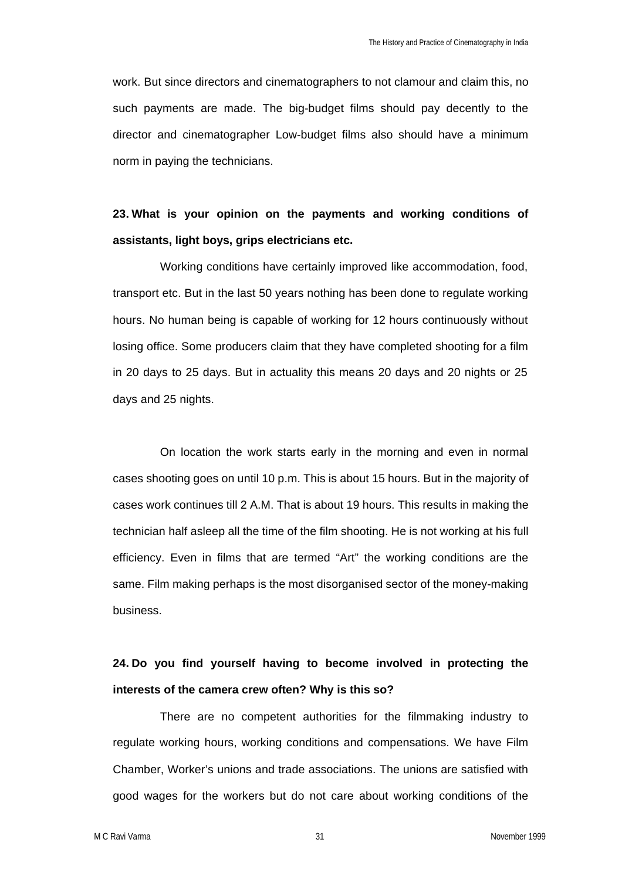work. But since directors and cinematographers to not clamour and claim this, no such payments are made. The big-budget films should pay decently to the director and cinematographer Low-budget films also should have a minimum norm in paying the technicians.

## **23. What is your opinion on the payments and working conditions of assistants, light boys, grips electricians etc.**

Working conditions have certainly improved like accommodation, food, transport etc. But in the last 50 years nothing has been done to regulate working hours. No human being is capable of working for 12 hours continuously without losing office. Some producers claim that they have completed shooting for a film in 20 days to 25 days. But in actuality this means 20 days and 20 nights or 25 days and 25 nights.

On location the work starts early in the morning and even in normal cases shooting goes on until 10 p.m. This is about 15 hours. But in the majority of cases work continues till 2 A.M. That is about 19 hours. This results in making the technician half asleep all the time of the film shooting. He is not working at his full efficiency. Even in films that are termed "Art" the working conditions are the same. Film making perhaps is the most disorganised sector of the money-making business.

## **24. Do you find yourself having to become involved in protecting the interests of the camera crew often? Why is this so?**

There are no competent authorities for the filmmaking industry to regulate working hours, working conditions and compensations. We have Film Chamber, Worker's unions and trade associations. The unions are satisfied with good wages for the workers but do not care about working conditions of the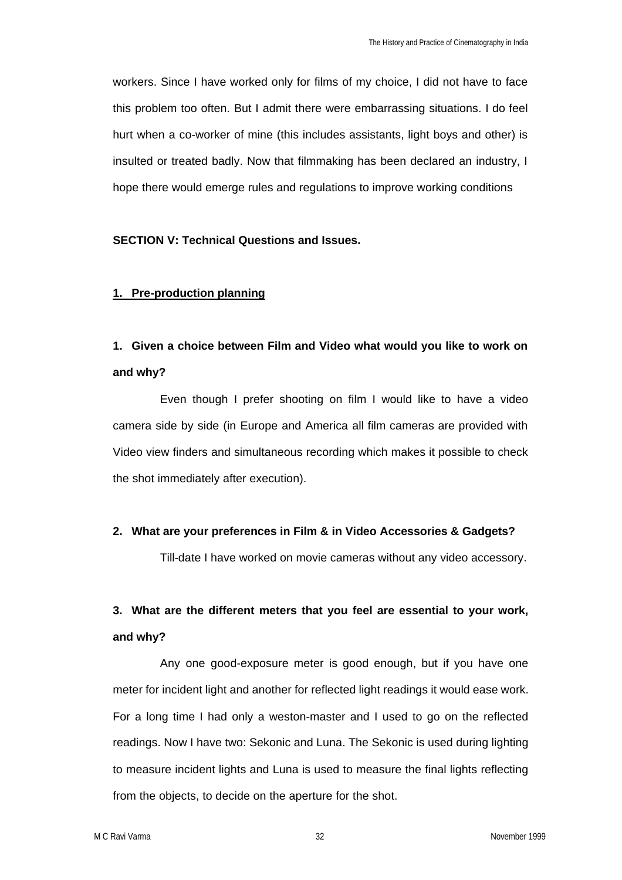workers. Since I have worked only for films of my choice, I did not have to face this problem too often. But I admit there were embarrassing situations. I do feel hurt when a co-worker of mine (this includes assistants, light boys and other) is insulted or treated badly. Now that filmmaking has been declared an industry, I hope there would emerge rules and regulations to improve working conditions

## **SECTION V: Technical Questions and Issues.**

### **1. Pre-production planning**

## **1. Given a choice between Film and Video what would you like to work on and why?**

Even though I prefer shooting on film I would like to have a video camera side by side (in Europe and America all film cameras are provided with Video view finders and simultaneous recording which makes it possible to check the shot immediately after execution).

### **2. What are your preferences in Film & in Video Accessories & Gadgets?**

Till-date I have worked on movie cameras without any video accessory.

# **3. What are the different meters that you feel are essential to your work, and why?**

Any one good-exposure meter is good enough, but if you have one meter for incident light and another for reflected light readings it would ease work. For a long time I had only a weston-master and I used to go on the reflected readings. Now I have two: Sekonic and Luna. The Sekonic is used during lighting to measure incident lights and Luna is used to measure the final lights reflecting from the objects, to decide on the aperture for the shot.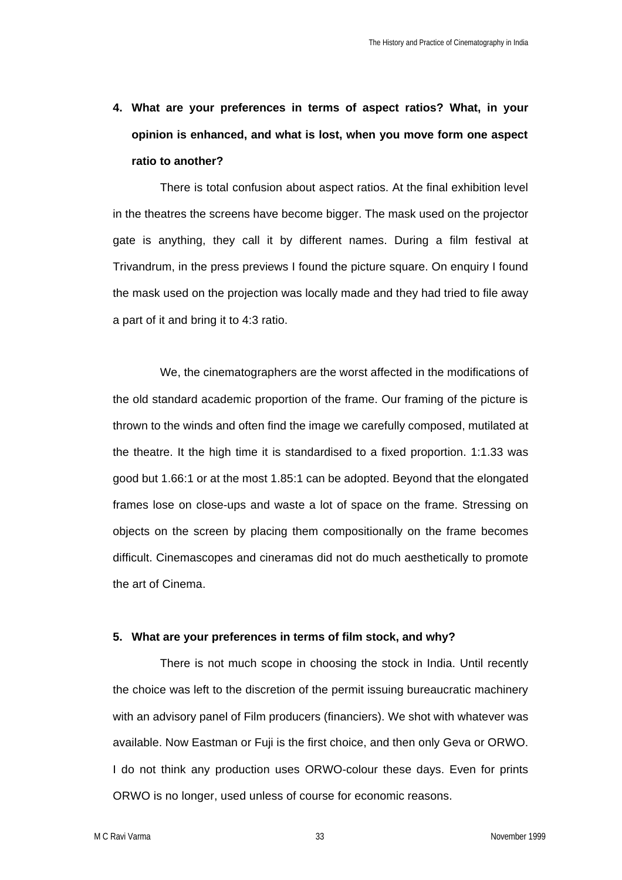**4. What are your preferences in terms of aspect ratios? What, in your opinion is enhanced, and what is lost, when you move form one aspect ratio to another?** 

There is total confusion about aspect ratios. At the final exhibition level in the theatres the screens have become bigger. The mask used on the projector gate is anything, they call it by different names. During a film festival at Trivandrum, in the press previews I found the picture square. On enquiry I found the mask used on the projection was locally made and they had tried to file away a part of it and bring it to 4:3 ratio.

We, the cinematographers are the worst affected in the modifications of the old standard academic proportion of the frame. Our framing of the picture is thrown to the winds and often find the image we carefully composed, mutilated at the theatre. It the high time it is standardised to a fixed proportion. 1:1.33 was good but 1.66:1 or at the most 1.85:1 can be adopted. Beyond that the elongated frames lose on close-ups and waste a lot of space on the frame. Stressing on objects on the screen by placing them compositionally on the frame becomes difficult. Cinemascopes and cineramas did not do much aesthetically to promote the art of Cinema.

### **5. What are your preferences in terms of film stock, and why?**

There is not much scope in choosing the stock in India. Until recently the choice was left to the discretion of the permit issuing bureaucratic machinery with an advisory panel of Film producers (financiers). We shot with whatever was available. Now Eastman or Fuji is the first choice, and then only Geva or ORWO. I do not think any production uses ORWO-colour these days. Even for prints ORWO is no longer, used unless of course for economic reasons.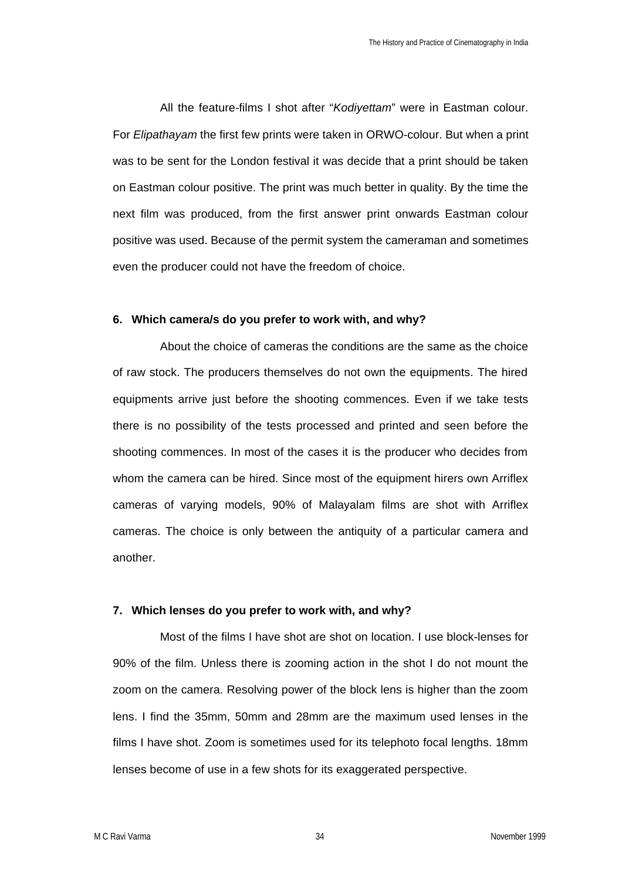All the feature-films I shot after "*Kodiyettam*" were in Eastman colour. For *Elipathayam* the first few prints were taken in ORWO-colour. But when a print was to be sent for the London festival it was decide that a print should be taken on Eastman colour positive. The print was much better in quality. By the time the next film was produced, from the first answer print onwards Eastman colour positive was used. Because of the permit system the cameraman and sometimes even the producer could not have the freedom of choice.

#### **6. Which camera/s do you prefer to work with, and why?**

About the choice of cameras the conditions are the same as the choice of raw stock. The producers themselves do not own the equipments. The hired equipments arrive just before the shooting commences. Even if we take tests there is no possibility of the tests processed and printed and seen before the shooting commences. In most of the cases it is the producer who decides from whom the camera can be hired. Since most of the equipment hirers own Arriflex cameras of varying models, 90% of Malayalam films are shot with Arriflex cameras. The choice is only between the antiquity of a particular camera and another.

### **7. Which lenses do you prefer to work with, and why?**

Most of the films I have shot are shot on location. I use block-lenses for 90% of the film. Unless there is zooming action in the shot I do not mount the zoom on the camera. Resolving power of the block lens is higher than the zoom lens. I find the 35mm, 50mm and 28mm are the maximum used lenses in the films I have shot. Zoom is sometimes used for its telephoto focal lengths. 18mm lenses become of use in a few shots for its exaggerated perspective.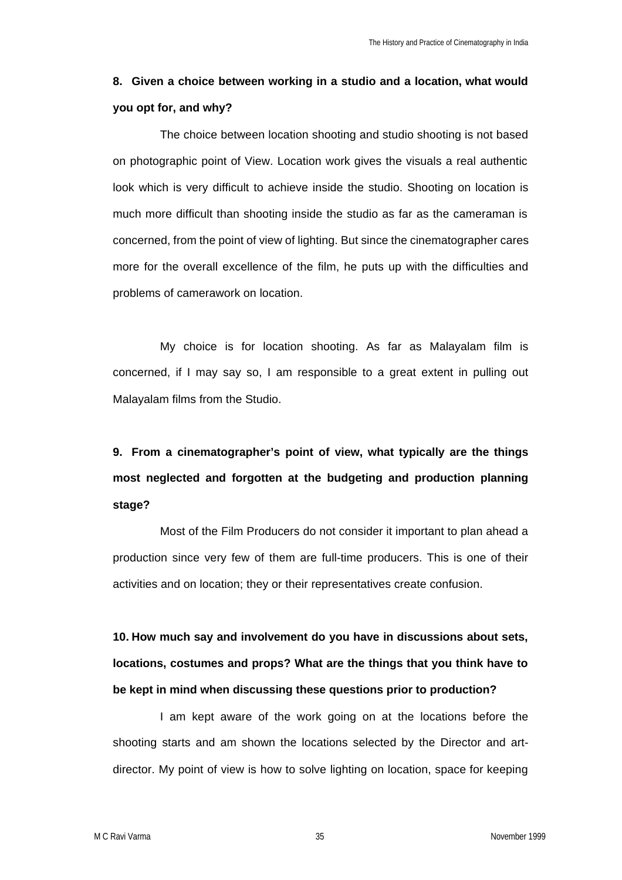## **8. Given a choice between working in a studio and a location, what would you opt for, and why?**

The choice between location shooting and studio shooting is not based on photographic point of View. Location work gives the visuals a real authentic look which is very difficult to achieve inside the studio. Shooting on location is much more difficult than shooting inside the studio as far as the cameraman is concerned, from the point of view of lighting. But since the cinematographer cares more for the overall excellence of the film, he puts up with the difficulties and problems of camerawork on location.

My choice is for location shooting. As far as Malayalam film is concerned, if I may say so, I am responsible to a great extent in pulling out Malayalam films from the Studio.

# **9. From a cinematographer's point of view, what typically are the things most neglected and forgotten at the budgeting and production planning stage?**

Most of the Film Producers do not consider it important to plan ahead a production since very few of them are full-time producers. This is one of their activities and on location; they or their representatives create confusion.

**10. How much say and involvement do you have in discussions about sets, locations, costumes and props? What are the things that you think have to be kept in mind when discussing these questions prior to production?** 

I am kept aware of the work going on at the locations before the shooting starts and am shown the locations selected by the Director and artdirector. My point of view is how to solve lighting on location, space for keeping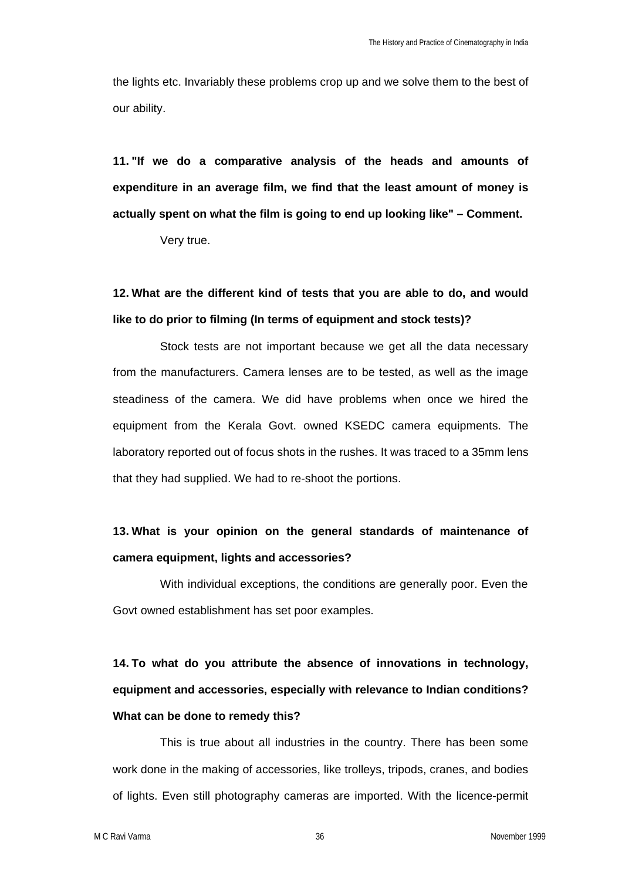the lights etc. Invariably these problems crop up and we solve them to the best of our ability.

**11. "If we do a comparative analysis of the heads and amounts of expenditure in an average film, we find that the least amount of money is actually spent on what the film is going to end up looking like" – Comment.**

Very true.

# **12. What are the different kind of tests that you are able to do, and would like to do prior to filming (In terms of equipment and stock tests)?**

Stock tests are not important because we get all the data necessary from the manufacturers. Camera lenses are to be tested, as well as the image steadiness of the camera. We did have problems when once we hired the equipment from the Kerala Govt. owned KSEDC camera equipments. The laboratory reported out of focus shots in the rushes. It was traced to a 35mm lens that they had supplied. We had to re-shoot the portions.

## **13. What is your opinion on the general standards of maintenance of camera equipment, lights and accessories?**

With individual exceptions, the conditions are generally poor. Even the Govt owned establishment has set poor examples.

**14. To what do you attribute the absence of innovations in technology, equipment and accessories, especially with relevance to Indian conditions? What can be done to remedy this?** 

This is true about all industries in the country. There has been some work done in the making of accessories, like trolleys, tripods, cranes, and bodies of lights. Even still photography cameras are imported. With the licence-permit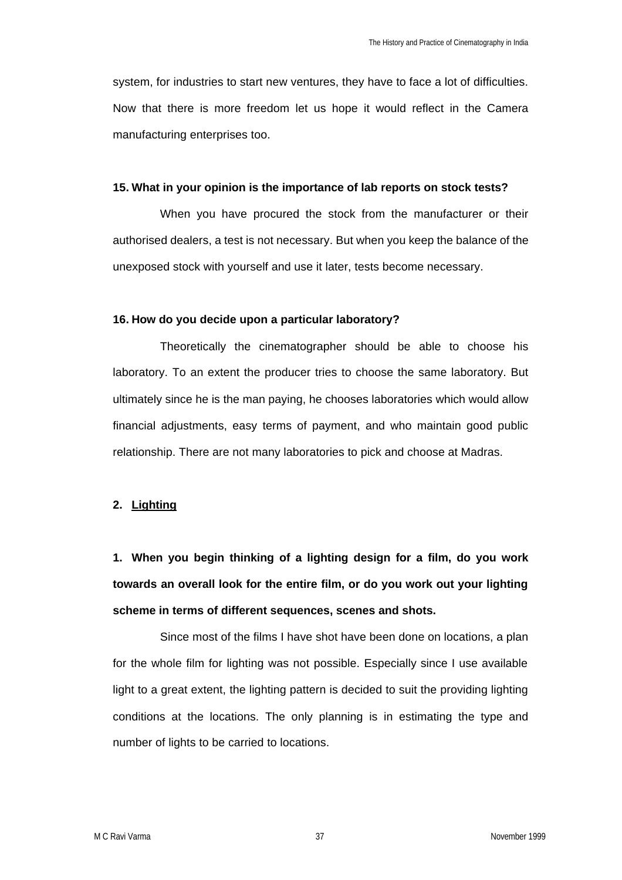system, for industries to start new ventures, they have to face a lot of difficulties. Now that there is more freedom let us hope it would reflect in the Camera manufacturing enterprises too.

#### **15. What in your opinion is the importance of lab reports on stock tests?**

When you have procured the stock from the manufacturer or their authorised dealers, a test is not necessary. But when you keep the balance of the unexposed stock with yourself and use it later, tests become necessary.

#### **16. How do you decide upon a particular laboratory?**

Theoretically the cinematographer should be able to choose his laboratory. To an extent the producer tries to choose the same laboratory. But ultimately since he is the man paying, he chooses laboratories which would allow financial adjustments, easy terms of payment, and who maintain good public relationship. There are not many laboratories to pick and choose at Madras.

#### **2. Lighting**

**1. When you begin thinking of a lighting design for a film, do you work towards an overall look for the entire film, or do you work out your lighting scheme in terms of different sequences, scenes and shots.** 

Since most of the films I have shot have been done on locations, a plan for the whole film for lighting was not possible. Especially since I use available light to a great extent, the lighting pattern is decided to suit the providing lighting conditions at the locations. The only planning is in estimating the type and number of lights to be carried to locations.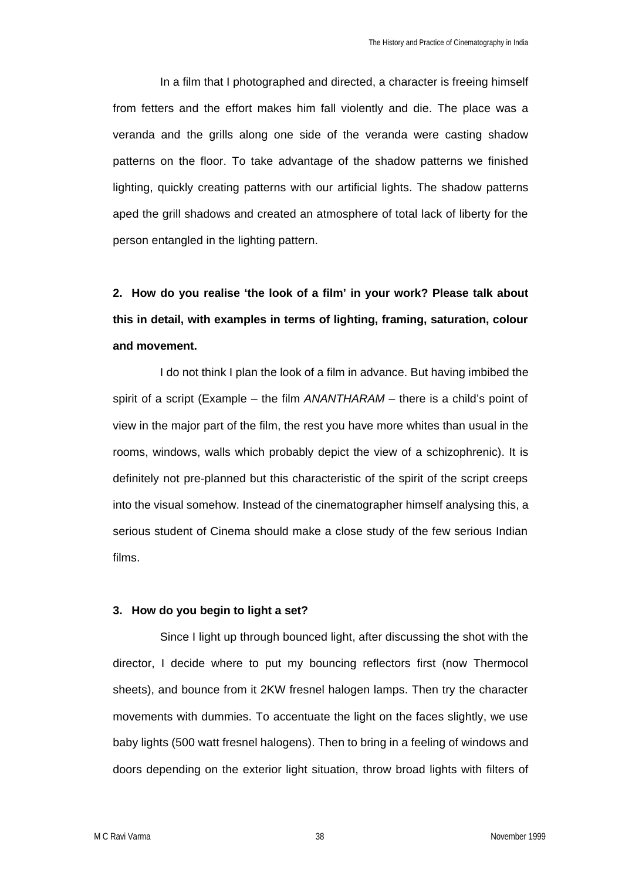In a film that I photographed and directed, a character is freeing himself from fetters and the effort makes him fall violently and die. The place was a veranda and the grills along one side of the veranda were casting shadow patterns on the floor. To take advantage of the shadow patterns we finished lighting, quickly creating patterns with our artificial lights. The shadow patterns aped the grill shadows and created an atmosphere of total lack of liberty for the person entangled in the lighting pattern.

# **2. How do you realise 'the look of a film' in your work? Please talk about this in detail, with examples in terms of lighting, framing, saturation, colour and movement.**

I do not think I plan the look of a film in advance. But having imbibed the spirit of a script (Example – the film *ANANTHARAM* – there is a child's point of view in the major part of the film, the rest you have more whites than usual in the rooms, windows, walls which probably depict the view of a schizophrenic). It is definitely not pre-planned but this characteristic of the spirit of the script creeps into the visual somehow. Instead of the cinematographer himself analysing this, a serious student of Cinema should make a close study of the few serious Indian films.

### **3. How do you begin to light a set?**

Since I light up through bounced light, after discussing the shot with the director, I decide where to put my bouncing reflectors first (now Thermocol sheets), and bounce from it 2KW fresnel halogen lamps. Then try the character movements with dummies. To accentuate the light on the faces slightly, we use baby lights (500 watt fresnel halogens). Then to bring in a feeling of windows and doors depending on the exterior light situation, throw broad lights with filters of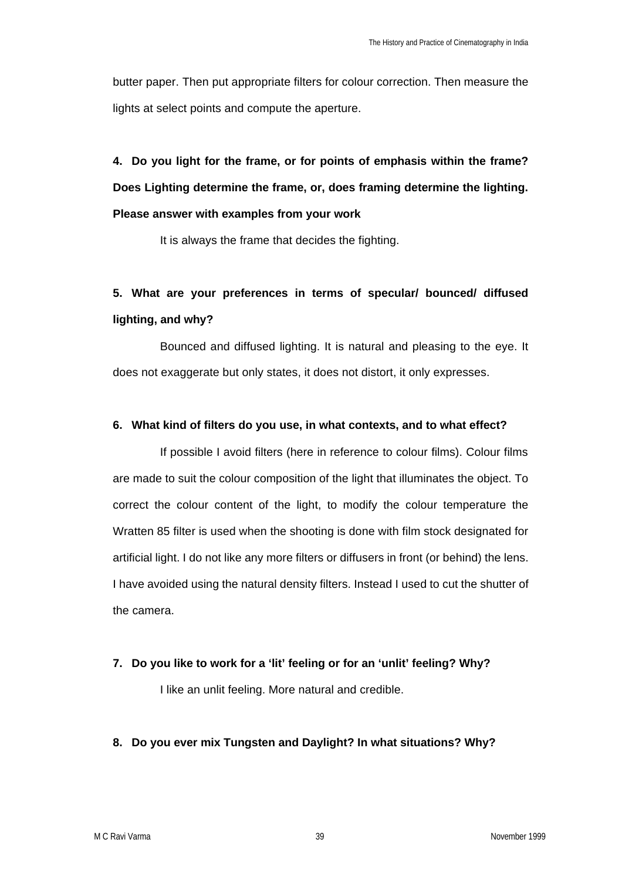butter paper. Then put appropriate filters for colour correction. Then measure the lights at select points and compute the aperture.

**4. Do you light for the frame, or for points of emphasis within the frame? Does Lighting determine the frame, or, does framing determine the lighting. Please answer with examples from your work** 

It is always the frame that decides the fighting.

# **5. What are your preferences in terms of specular/ bounced/ diffused lighting, and why?**

Bounced and diffused lighting. It is natural and pleasing to the eye. It does not exaggerate but only states, it does not distort, it only expresses.

## **6. What kind of filters do you use, in what contexts, and to what effect?**

If possible I avoid filters (here in reference to colour films). Colour films are made to suit the colour composition of the light that illuminates the object. To correct the colour content of the light, to modify the colour temperature the Wratten 85 filter is used when the shooting is done with film stock designated for artificial light. I do not like any more filters or diffusers in front (or behind) the lens. I have avoided using the natural density filters. Instead I used to cut the shutter of the camera.

## **7. Do you like to work for a 'lit' feeling or for an 'unlit' feeling? Why?**

I like an unlit feeling. More natural and credible.

## **8. Do you ever mix Tungsten and Daylight? In what situations? Why?**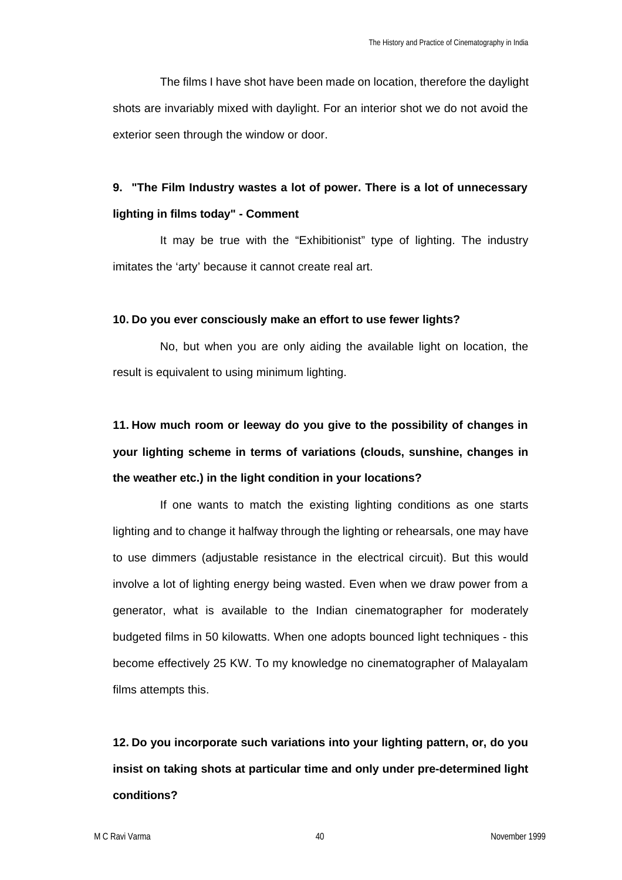The films I have shot have been made on location, therefore the daylight shots are invariably mixed with daylight. For an interior shot we do not avoid the exterior seen through the window or door.

## **9. "The Film Industry wastes a lot of power. There is a lot of unnecessary lighting in films today" - Comment**

It may be true with the "Exhibitionist" type of lighting. The industry imitates the 'arty' because it cannot create real art.

### **10. Do you ever consciously make an effort to use fewer lights?**

No, but when you are only aiding the available light on location, the result is equivalent to using minimum lighting.

# **11. How much room or leeway do you give to the possibility of changes in your lighting scheme in terms of variations (clouds, sunshine, changes in the weather etc.) in the light condition in your locations?**

If one wants to match the existing lighting conditions as one starts lighting and to change it halfway through the lighting or rehearsals, one may have to use dimmers (adjustable resistance in the electrical circuit). But this would involve a lot of lighting energy being wasted. Even when we draw power from a generator, what is available to the Indian cinematographer for moderately budgeted films in 50 kilowatts. When one adopts bounced light techniques - this become effectively 25 KW. To my knowledge no cinematographer of Malayalam films attempts this.

**12. Do you incorporate such variations into your lighting pattern, or, do you insist on taking shots at particular time and only under pre-determined light conditions?**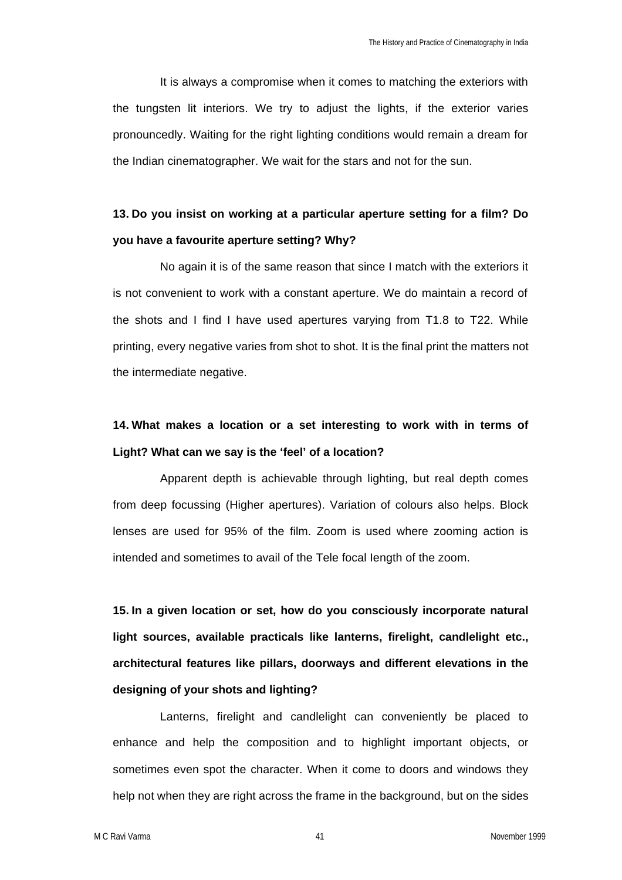It is always a compromise when it comes to matching the exteriors with the tungsten lit interiors. We try to adjust the lights, if the exterior varies pronouncedly. Waiting for the right lighting conditions would remain a dream for the Indian cinematographer. We wait for the stars and not for the sun.

## **13. Do you insist on working at a particular aperture setting for a film? Do you have a favourite aperture setting? Why?**

No again it is of the same reason that since I match with the exteriors it is not convenient to work with a constant aperture. We do maintain a record of the shots and I find I have used apertures varying from T1.8 to T22. While printing, every negative varies from shot to shot. It is the final print the matters not the intermediate negative.

## **14. What makes a location or a set interesting to work with in terms of Light? What can we say is the 'feel' of a location?**

Apparent depth is achievable through lighting, but real depth comes from deep focussing (Higher apertures). Variation of colours also helps. Block lenses are used for 95% of the film. Zoom is used where zooming action is intended and sometimes to avail of the Tele focal Iength of the zoom.

**15. In a given location or set, how do you consciously incorporate natural light sources, available practicals like lanterns, firelight, candlelight etc., architectural features like pillars, doorways and different elevations in the designing of your shots and lighting?** 

Lanterns, firelight and candlelight can conveniently be placed to enhance and help the composition and to highlight important objects, or sometimes even spot the character. When it come to doors and windows they help not when they are right across the frame in the background, but on the sides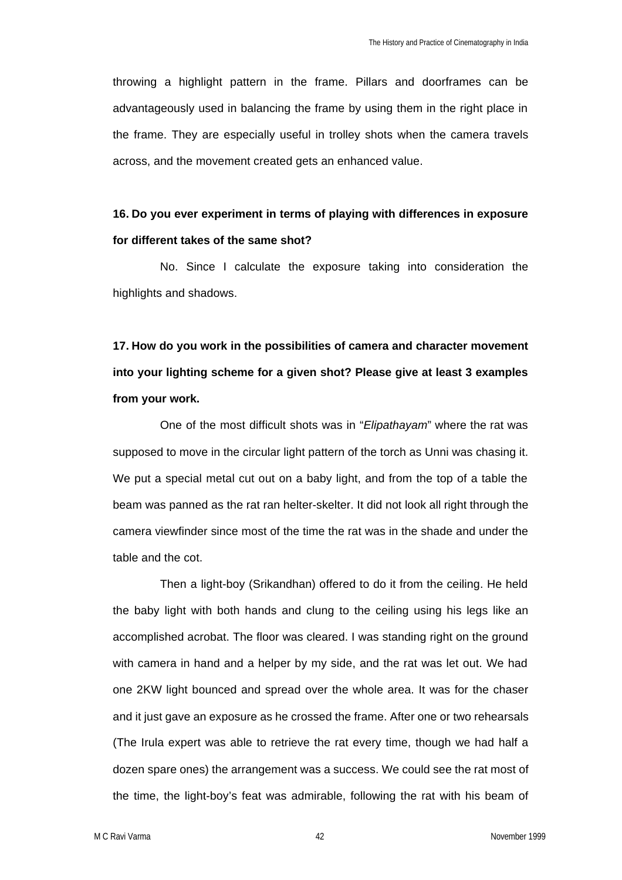throwing a highlight pattern in the frame. Pillars and doorframes can be advantageously used in balancing the frame by using them in the right place in the frame. They are especially useful in trolley shots when the camera travels across, and the movement created gets an enhanced value.

## **16. Do you ever experiment in terms of playing with differences in exposure for different takes of the same shot?**

No. Since I calculate the exposure taking into consideration the highlights and shadows.

**17. How do you work in the possibilities of camera and character movement into your lighting scheme for a given shot? Please give at least 3 examples from your work.**

One of the most difficult shots was in "*Elipathayam*" where the rat was supposed to move in the circular light pattern of the torch as Unni was chasing it. We put a special metal cut out on a baby light, and from the top of a table the beam was panned as the rat ran helter-skelter. It did not look all right through the camera viewfinder since most of the time the rat was in the shade and under the table and the cot.

Then a light-boy (Srikandhan) offered to do it from the ceiling. He held the baby light with both hands and clung to the ceiling using his legs like an accomplished acrobat. The floor was cleared. I was standing right on the ground with camera in hand and a helper by my side, and the rat was let out. We had one 2KW light bounced and spread over the whole area. It was for the chaser and it just gave an exposure as he crossed the frame. After one or two rehearsals (The Irula expert was able to retrieve the rat every time, though we had half a dozen spare ones) the arrangement was a success. We could see the rat most of the time, the light-boy's feat was admirable, following the rat with his beam of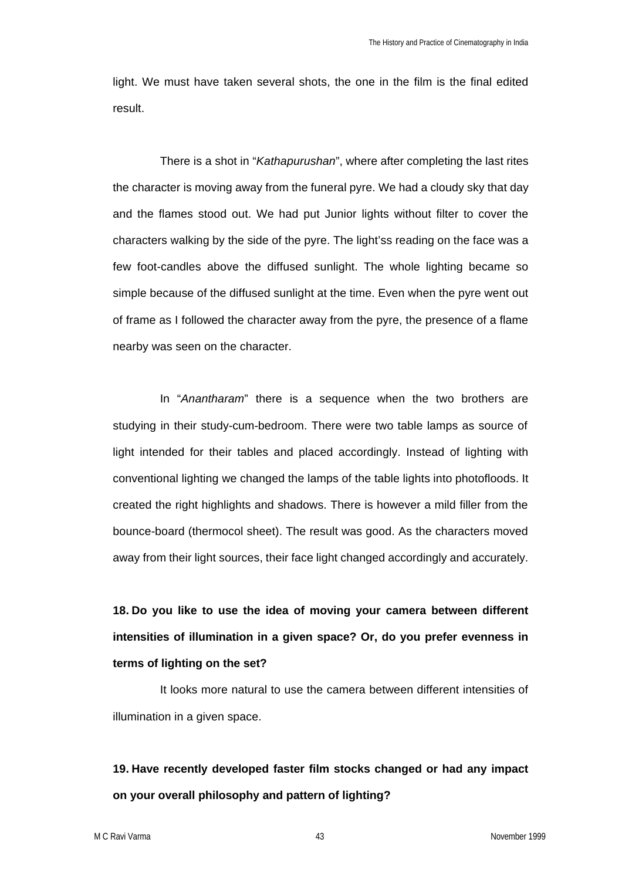light. We must have taken several shots, the one in the film is the final edited result.

There is a shot in "*Kathapurushan*", where after completing the last rites the character is moving away from the funeral pyre. We had a cloudy sky that day and the flames stood out. We had put Junior lights without filter to cover the characters walking by the side of the pyre. The light'ss reading on the face was a few foot-candles above the diffused sunlight. The whole lighting became so simple because of the diffused sunlight at the time. Even when the pyre went out of frame as I followed the character away from the pyre, the presence of a flame nearby was seen on the character.

In "*Anantharam*" there is a sequence when the two brothers are studying in their study-cum-bedroom. There were two table lamps as source of light intended for their tables and placed accordingly. Instead of lighting with conventional lighting we changed the lamps of the table lights into photofloods. It created the right highlights and shadows. There is however a mild filler from the bounce-board (thermocol sheet). The result was good. As the characters moved away from their light sources, their face light changed accordingly and accurately.

**18. Do you like to use the idea of moving your camera between different intensities of illumination in a given space? Or, do you prefer evenness in terms of lighting on the set?** 

It looks more natural to use the camera between different intensities of illumination in a given space.

# **19. Have recently developed faster film stocks changed or had any impact on your overall philosophy and pattern of lighting?**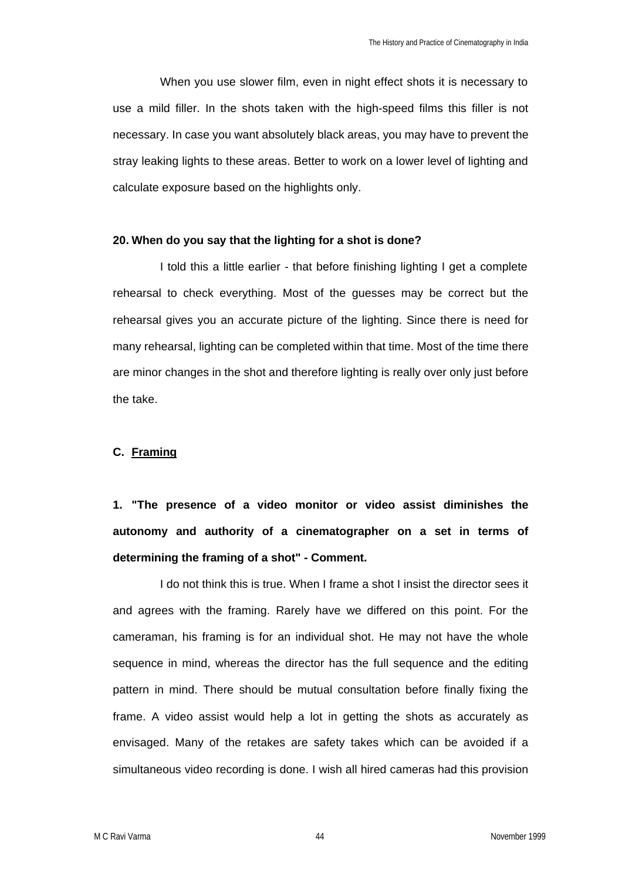When you use slower film, even in night effect shots it is necessary to use a mild filler. In the shots taken with the high-speed films this filler is not necessary. In case you want absolutely black areas, you may have to prevent the stray leaking lights to these areas. Better to work on a lower level of lighting and calculate exposure based on the highlights only.

### **20. When do you say that the lighting for a shot is done?**

I told this a little earlier - that before finishing lighting I get a complete rehearsal to check everything. Most of the guesses may be correct but the rehearsal gives you an accurate picture of the lighting. Since there is need for many rehearsal, lighting can be completed within that time. Most of the time there are minor changes in the shot and therefore lighting is really over only just before the take.

### **C. Framing**

**1. "The presence of a video monitor or video assist diminishes the autonomy and authority of a cinematographer on a set in terms of determining the framing of a shot" - Comment.** 

I do not think this is true. When I frame a shot I insist the director sees it and agrees with the framing. Rarely have we differed on this point. For the cameraman, his framing is for an individual shot. He may not have the whole sequence in mind, whereas the director has the full sequence and the editing pattern in mind. There should be mutual consultation before finally fixing the frame. A video assist would help a lot in getting the shots as accurately as envisaged. Many of the retakes are safety takes which can be avoided if a simultaneous video recording is done. I wish all hired cameras had this provision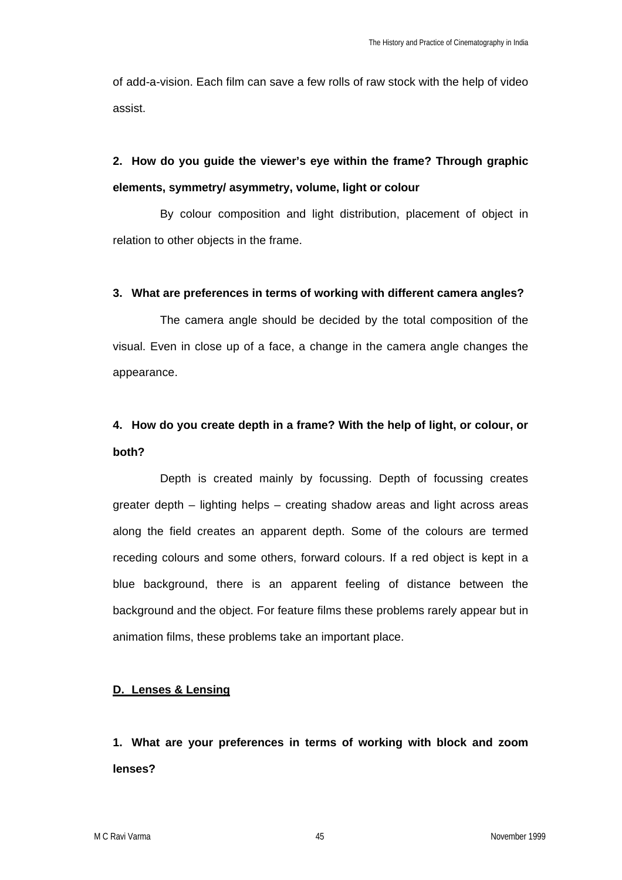of add-a-vision. Each film can save a few rolls of raw stock with the help of video assist.

# **2. How do you guide the viewer's eye within the frame? Through graphic elements, symmetry/ asymmetry, volume, light or colour**

By colour composition and light distribution, placement of object in relation to other objects in the frame.

## **3. What are preferences in terms of working with different camera angles?**

The camera angle should be decided by the total composition of the visual. Even in close up of a face, a change in the camera angle changes the appearance.

## **4. How do you create depth in a frame? With the help of light, or colour, or both?**

Depth is created mainly by focussing. Depth of focussing creates greater depth – lighting helps – creating shadow areas and light across areas along the field creates an apparent depth. Some of the colours are termed receding colours and some others, forward colours. If a red object is kept in a blue background, there is an apparent feeling of distance between the background and the object. For feature films these problems rarely appear but in animation films, these problems take an important place.

## **D. Lenses & Lensing**

**1. What are your preferences in terms of working with block and zoom lenses?**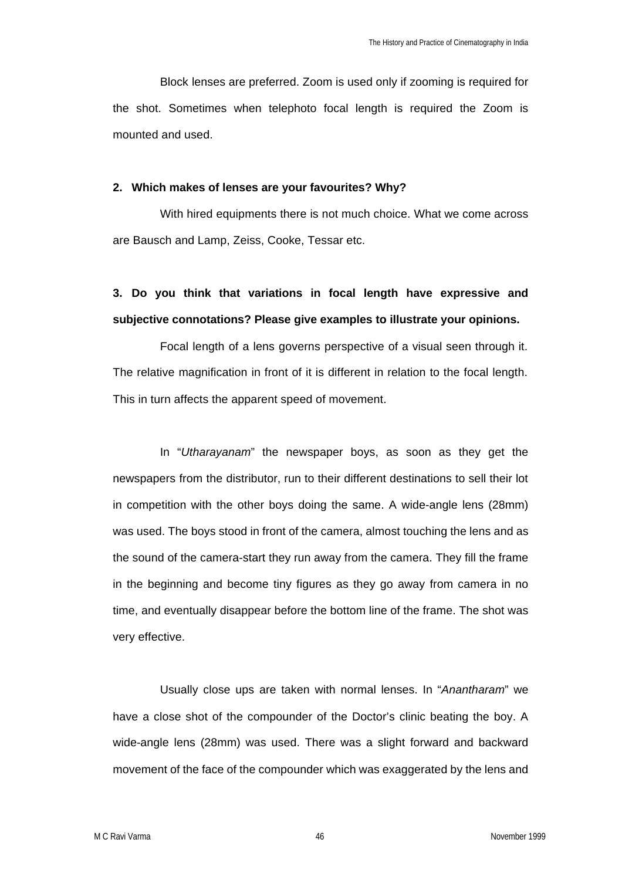Block lenses are preferred. Zoom is used only if zooming is required for the shot. Sometimes when telephoto focal length is required the Zoom is mounted and used.

#### **2. Which makes of lenses are your favourites? Why?**

With hired equipments there is not much choice. What we come across are Bausch and Lamp, Zeiss, Cooke, Tessar etc.

# **3. Do you think that variations in focal length have expressive and subjective connotations? Please give examples to illustrate your opinions.**

Focal length of a lens governs perspective of a visual seen through it. The relative magnification in front of it is different in relation to the focal length. This in turn affects the apparent speed of movement.

In "*Utharayanam*" the newspaper boys, as soon as they get the newspapers from the distributor, run to their different destinations to sell their lot in competition with the other boys doing the same. A wide-angle lens (28mm) was used. The boys stood in front of the camera, almost touching the lens and as the sound of the camera-start they run away from the camera. They fill the frame in the beginning and become tiny figures as they go away from camera in no time, and eventually disappear before the bottom line of the frame. The shot was very effective.

Usually close ups are taken with normal lenses. In "*Anantharam*" we have a close shot of the compounder of the Doctor's clinic beating the boy. A wide-angle lens (28mm) was used. There was a slight forward and backward movement of the face of the compounder which was exaggerated by the lens and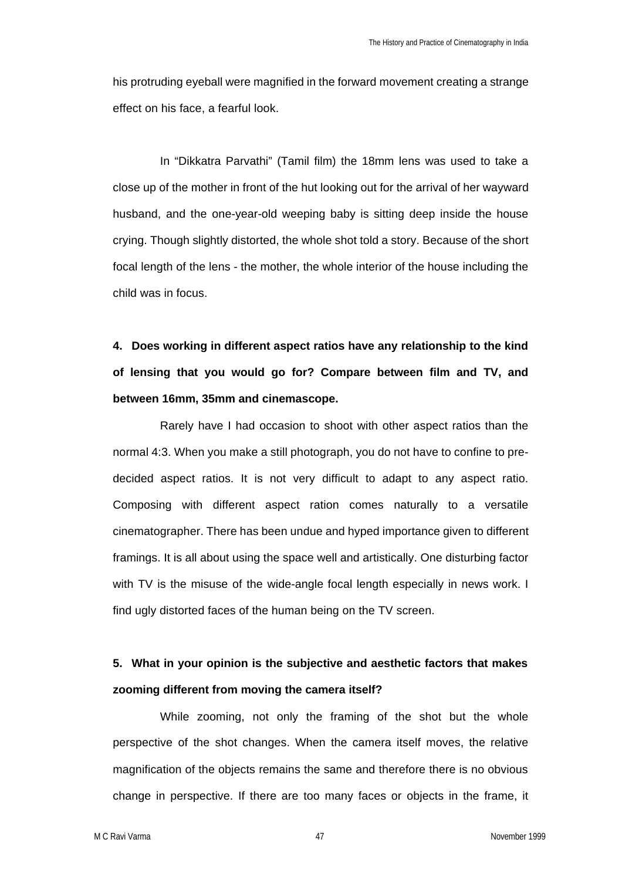his protruding eyeball were magnified in the forward movement creating a strange effect on his face, a fearful look.

In "Dikkatra Parvathi" (Tamil film) the 18mm lens was used to take a close up of the mother in front of the hut looking out for the arrival of her wayward husband, and the one-year-old weeping baby is sitting deep inside the house crying. Though slightly distorted, the whole shot told a story. Because of the short focal length of the lens - the mother, the whole interior of the house including the child was in focus.

**4. Does working in different aspect ratios have any relationship to the kind of lensing that you would go for? Compare between film and TV, and between 16mm, 35mm and cinemascope.** 

Rarely have I had occasion to shoot with other aspect ratios than the normal 4:3. When you make a still photograph, you do not have to confine to predecided aspect ratios. It is not very difficult to adapt to any aspect ratio. Composing with different aspect ration comes naturally to a versatile cinematographer. There has been undue and hyped importance given to different framings. It is all about using the space well and artistically. One disturbing factor with TV is the misuse of the wide-angle focal length especially in news work. I find ugly distorted faces of the human being on the TV screen.

## **5. What in your opinion is the subjective and aesthetic factors that makes zooming different from moving the camera itself?**

While zooming, not only the framing of the shot but the whole perspective of the shot changes. When the camera itself moves, the relative magnification of the objects remains the same and therefore there is no obvious change in perspective. If there are too many faces or objects in the frame, it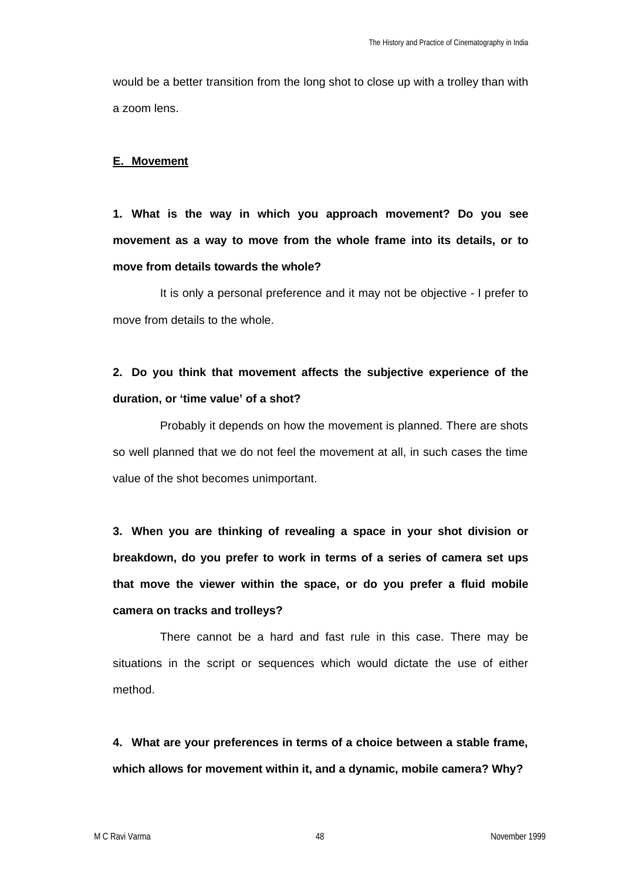would be a better transition from the long shot to close up with a trolley than with a zoom lens.

### **E. Movement**

**1. What is the way in which you approach movement? Do you see movement as a way to move from the whole frame into its details, or to move from details towards the whole?** 

It is only a personal preference and it may not be objective - I prefer to move from details to the whole.

## **2. Do you think that movement affects the subjective experience of the duration, or 'time value' of a shot?**

Probably it depends on how the movement is planned. There are shots so well planned that we do not feel the movement at all, in such cases the time value of the shot becomes unimportant.

**3. When you are thinking of revealing a space in your shot division or breakdown, do you prefer to work in terms of a series of camera set ups that move the viewer within the space, or do you prefer a fluid mobile camera on tracks and trolleys?** 

There cannot be a hard and fast rule in this case. There may be situations in the script or sequences which would dictate the use of either method.

**4. What are your preferences in terms of a choice between a stable frame, which allows for movement within it, and a dynamic, mobile camera? Why?**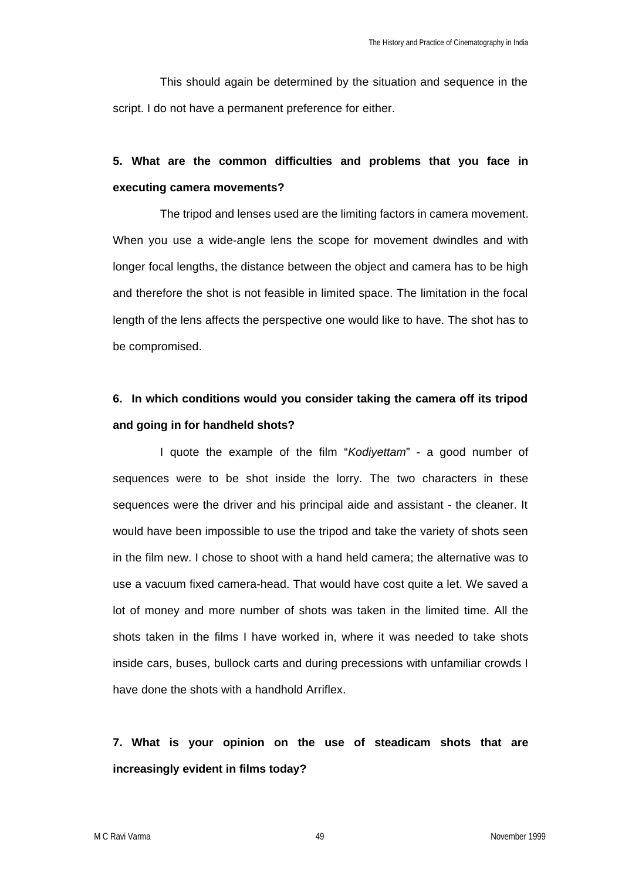This should again be determined by the situation and sequence in the script. I do not have a permanent preference for either.

## **5. What are the common difficulties and problems that you face in executing camera movements?**

The tripod and lenses used are the limiting factors in camera movement. When you use a wide-angle lens the scope for movement dwindles and with longer focal lengths, the distance between the object and camera has to be high and therefore the shot is not feasible in limited space. The limitation in the focal length of the lens affects the perspective one would like to have. The shot has to be compromised.

## **6. In which conditions would you consider taking the camera off its tripod and going in for handheld shots?**

I quote the example of the film "*Kodiyettam*" - a good number of sequences were to be shot inside the lorry. The two characters in these sequences were the driver and his principal aide and assistant - the cleaner. It would have been impossible to use the tripod and take the variety of shots seen in the film new. I chose to shoot with a hand held camera; the alternative was to use a vacuum fixed camera-head. That would have cost quite a let. We saved a lot of money and more number of shots was taken in the limited time. All the shots taken in the films I have worked in, where it was needed to take shots inside cars, buses, bullock carts and during precessions with unfamiliar crowds I have done the shots with a handhold Arriflex.

## **7. What is your opinion on the use of steadicam shots that are increasingly evident in films today?**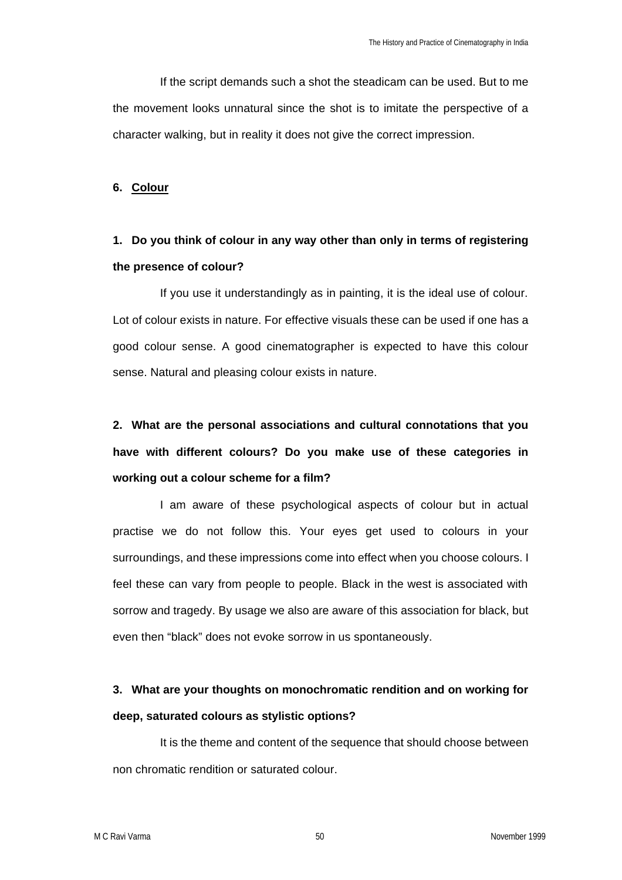If the script demands such a shot the steadicam can be used. But to me the movement looks unnatural since the shot is to imitate the perspective of a character walking, but in reality it does not give the correct impression.

### **6. Colour**

## **1. Do you think of colour in any way other than only in terms of registering the presence of colour?**

If you use it understandingly as in painting, it is the ideal use of colour. Lot of colour exists in nature. For effective visuals these can be used if one has a good colour sense. A good cinematographer is expected to have this colour sense. Natural and pleasing colour exists in nature.

# **2. What are the personal associations and cultural connotations that you have with different colours? Do you make use of these categories in working out a colour scheme for a film?**

I am aware of these psychological aspects of colour but in actual practise we do not follow this. Your eyes get used to colours in your surroundings, and these impressions come into effect when you choose colours. I feel these can vary from people to people. Black in the west is associated with sorrow and tragedy. By usage we also are aware of this association for black, but even then "black" does not evoke sorrow in us spontaneously.

## **3. What are your thoughts on monochromatic rendition and on working for deep, saturated colours as stylistic options?**

It is the theme and content of the sequence that should choose between non chromatic rendition or saturated colour.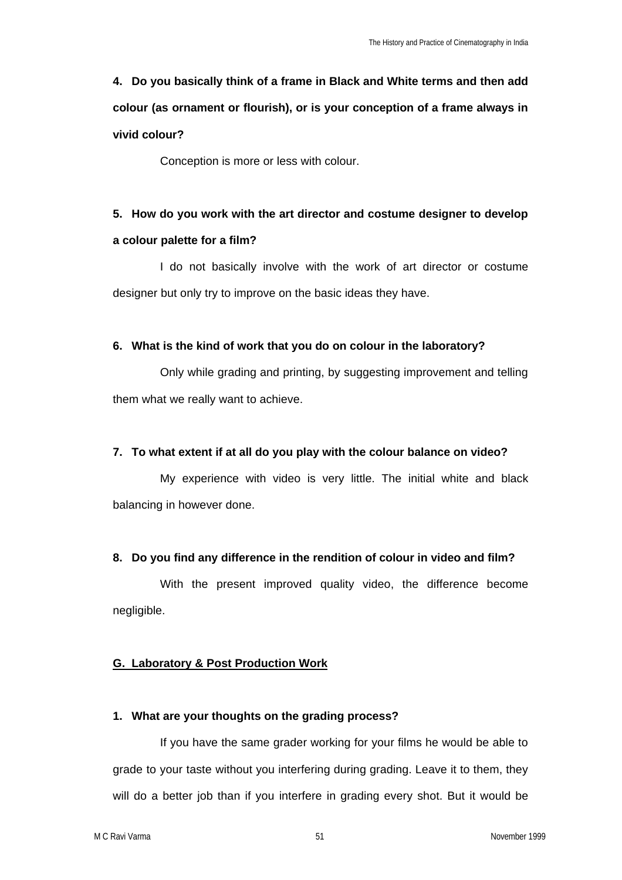# **4. Do you basically think of a frame in Black and White terms and then add colour (as ornament or flourish), or is your conception of a frame always in vivid colour?**

Conception is more or less with colour.

# **5. How do you work with the art director and costume designer to develop**

### **a colour palette for a film?**

I do not basically involve with the work of art director or costume designer but only try to improve on the basic ideas they have.

## **6. What is the kind of work that you do on colour in the laboratory?**

Only while grading and printing, by suggesting improvement and telling them what we really want to achieve.

## **7. To what extent if at all do you play with the colour balance on video?**

My experience with video is very little. The initial white and black balancing in however done.

## **8. Do you find any difference in the rendition of colour in video and film?**

With the present improved quality video, the difference become negligible.

## **G. Laboratory & Post Production Work**

## **1. What are your thoughts on the grading process?**

If you have the same grader working for your films he would be able to grade to your taste without you interfering during grading. Leave it to them, they will do a better job than if you interfere in grading every shot. But it would be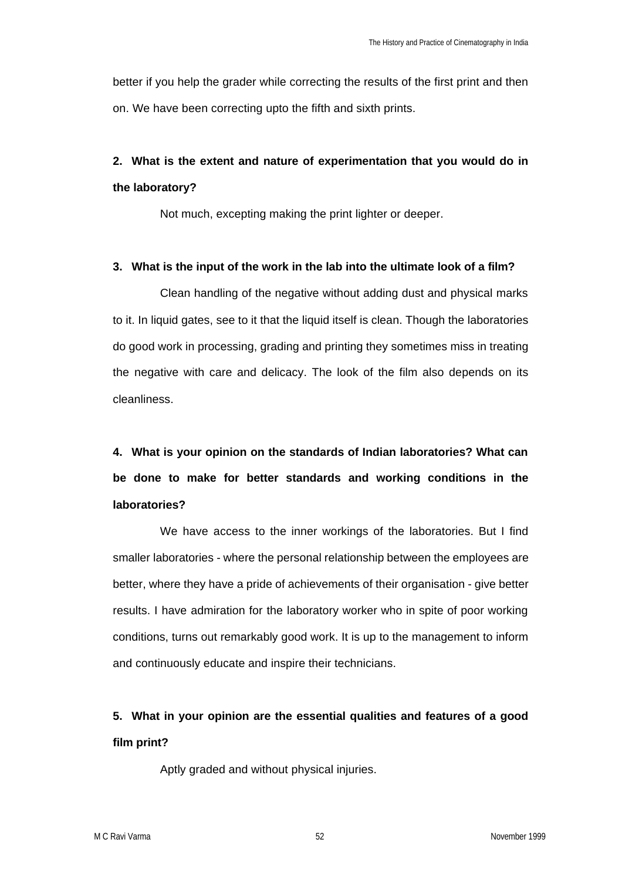better if you help the grader while correcting the results of the first print and then on. We have been correcting upto the fifth and sixth prints.

# **2. What is the extent and nature of experimentation that you would do in the laboratory?**

Not much, excepting making the print lighter or deeper.

### **3. What is the input of the work in the lab into the ultimate look of a film?**

Clean handling of the negative without adding dust and physical marks to it. In liquid gates, see to it that the liquid itself is clean. Though the laboratories do good work in processing, grading and printing they sometimes miss in treating the negative with care and delicacy. The look of the film also depends on its cleanliness.

# **4. What is your opinion on the standards of Indian laboratories? What can be done to make for better standards and working conditions in the laboratories?**

We have access to the inner workings of the laboratories. But I find smaller laboratories - where the personal relationship between the employees are better, where they have a pride of achievements of their organisation - give better results. I have admiration for the laboratory worker who in spite of poor working conditions, turns out remarkably good work. It is up to the management to inform and continuously educate and inspire their technicians.

## **5. What in your opinion are the essential qualities and features of a good film print?**

Aptly graded and without physical injuries.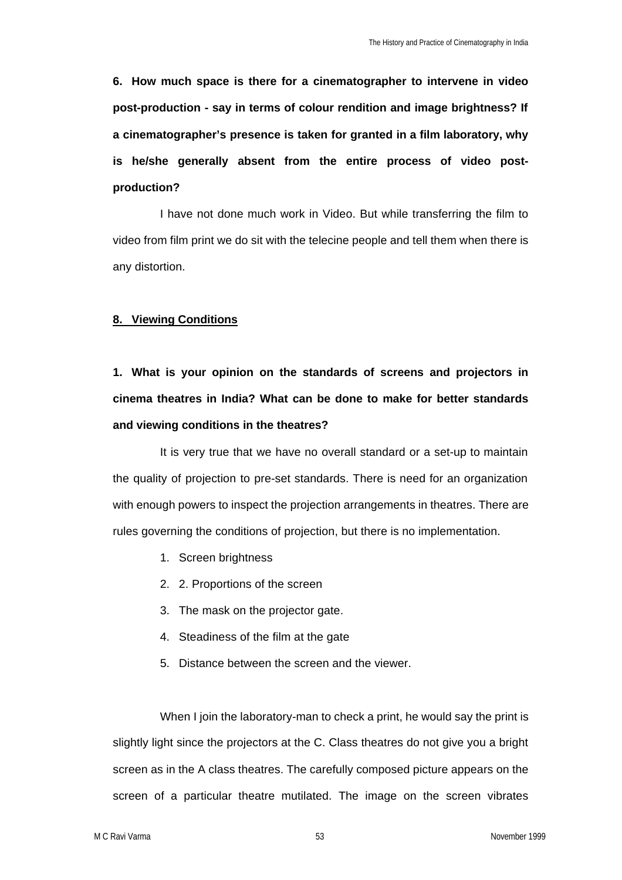**6. How much space is there for a cinematographer to intervene in video post-production - say in terms of colour rendition and image brightness? If a cinematographer's presence is taken for granted in a film laboratory, why is he/she generally absent from the entire process of video postproduction?**

I have not done much work in Video. But while transferring the film to video from film print we do sit with the telecine people and tell them when there is any distortion.

### **8. Viewing Conditions**

**1. What is your opinion on the standards of screens and projectors in cinema theatres in India? What can be done to make for better standards and viewing conditions in the theatres?** 

It is very true that we have no overall standard or a set-up to maintain the quality of projection to pre-set standards. There is need for an organization with enough powers to inspect the projection arrangements in theatres. There are rules governing the conditions of projection, but there is no implementation.

- 1. Screen brightness
- 2. 2. Proportions of the screen
- 3. The mask on the projector gate.
- 4. Steadiness of the film at the gate
- 5. Distance between the screen and the viewer.

When I join the laboratory-man to check a print, he would say the print is slightly light since the projectors at the C. Class theatres do not give you a bright screen as in the A class theatres. The carefully composed picture appears on the screen of a particular theatre mutilated. The image on the screen vibrates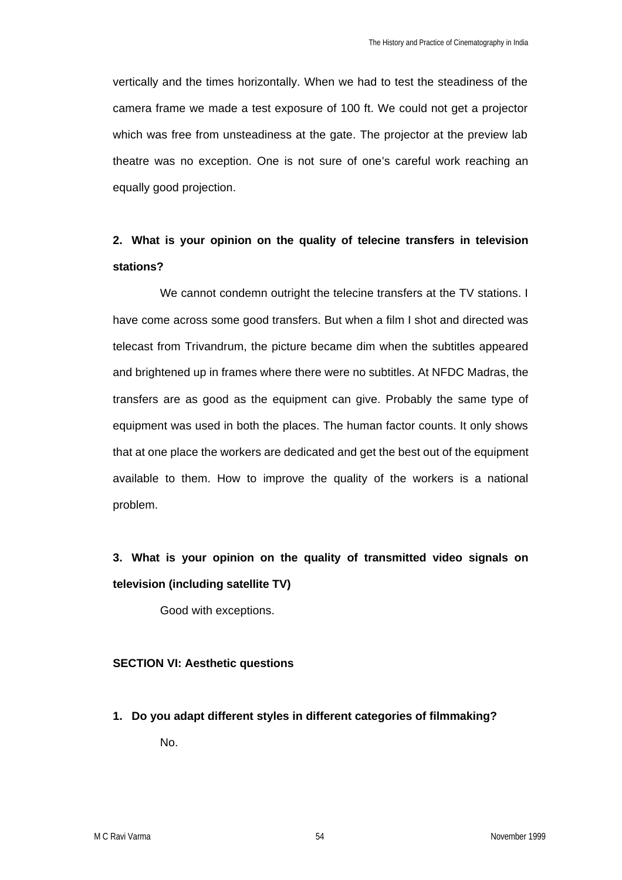vertically and the times horizontally. When we had to test the steadiness of the camera frame we made a test exposure of 100 ft. We could not get a projector which was free from unsteadiness at the gate. The projector at the preview lab theatre was no exception. One is not sure of one's careful work reaching an equally good projection.

## **2. What is your opinion on the quality of telecine transfers in television stations?**

We cannot condemn outright the telecine transfers at the TV stations. I have come across some good transfers. But when a film I shot and directed was telecast from Trivandrum, the picture became dim when the subtitles appeared and brightened up in frames where there were no subtitles. At NFDC Madras, the transfers are as good as the equipment can give. Probably the same type of equipment was used in both the places. The human factor counts. It only shows that at one place the workers are dedicated and get the best out of the equipment available to them. How to improve the quality of the workers is a national problem.

# **3. What is your opinion on the quality of transmitted video signals on television (including satellite TV)**

Good with exceptions.

## **SECTION VI: Aesthetic questions**

**1. Do you adapt different styles in different categories of filmmaking?**  No.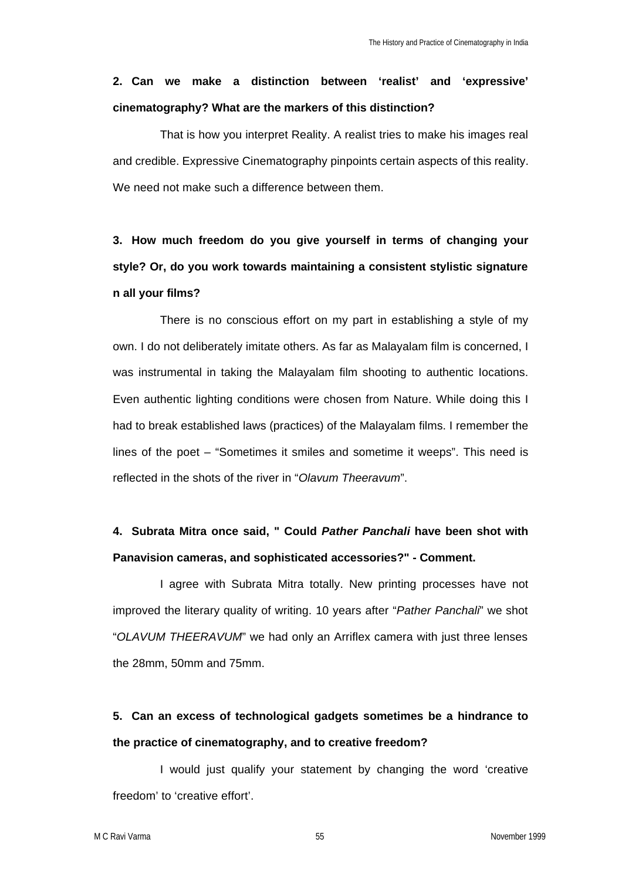# **2. Can we make a distinction between 'realist' and 'expressive' cinematography? What are the markers of this distinction?**

That is how you interpret Reality. A realist tries to make his images real and credible. Expressive Cinematography pinpoints certain aspects of this reality. We need not make such a difference between them.

**3. How much freedom do you give yourself in terms of changing your style? Or, do you work towards maintaining a consistent stylistic signature n all your films?** 

There is no conscious effort on my part in establishing a style of my own. I do not deliberately imitate others. As far as Malayalam film is concerned, I was instrumental in taking the Malayalam film shooting to authentic Iocations. Even authentic lighting conditions were chosen from Nature. While doing this I had to break established laws (practices) of the Malayalam films. I remember the lines of the poet – "Sometimes it smiles and sometime it weeps". This need is reflected in the shots of the river in "*Olavum Theeravum*".

## **4. Subrata Mitra once said, " Could** *Pather Panchali* **have been shot with Panavision cameras, and sophisticated accessories?" - Comment.**

I agree with Subrata Mitra totally. New printing processes have not improved the literary quality of writing. 10 years after "*Pather Panchali*" we shot "*OLAVUM THEERAVUM*" we had only an Arriflex camera with just three lenses the 28mm, 50mm and 75mm.

## **5. Can an excess of technological gadgets sometimes be a hindrance to the practice of cinematography, and to creative freedom?**

I would just qualify your statement by changing the word 'creative freedom' to 'creative effort'.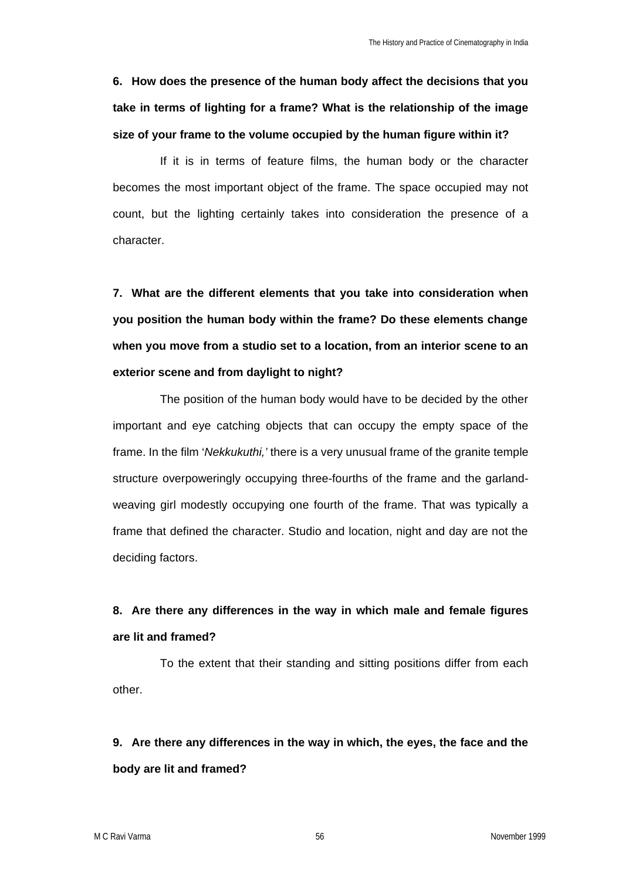**6. How does the presence of the human body affect the decisions that you take in terms of lighting for a frame? What is the relationship of the image size of your frame to the volume occupied by the human figure within it?** 

If it is in terms of feature films, the human body or the character becomes the most important object of the frame. The space occupied may not count, but the lighting certainly takes into consideration the presence of a character.

**7. What are the different elements that you take into consideration when you position the human body within the frame? Do these elements change when you move from a studio set to a location, from an interior scene to an exterior scene and from daylight to night?**

The position of the human body would have to be decided by the other important and eye catching objects that can occupy the empty space of the frame. In the film '*Nekkukuthi,'* there is a very unusual frame of the granite temple structure overpoweringly occupying three-fourths of the frame and the garlandweaving girl modestly occupying one fourth of the frame. That was typically a frame that defined the character. Studio and location, night and day are not the deciding factors.

# **8. Are there any differences in the way in which male and female figures are lit and framed?**

To the extent that their standing and sitting positions differ from each other.

# **9. Are there any differences in the way in which, the eyes, the face and the body are lit and framed?**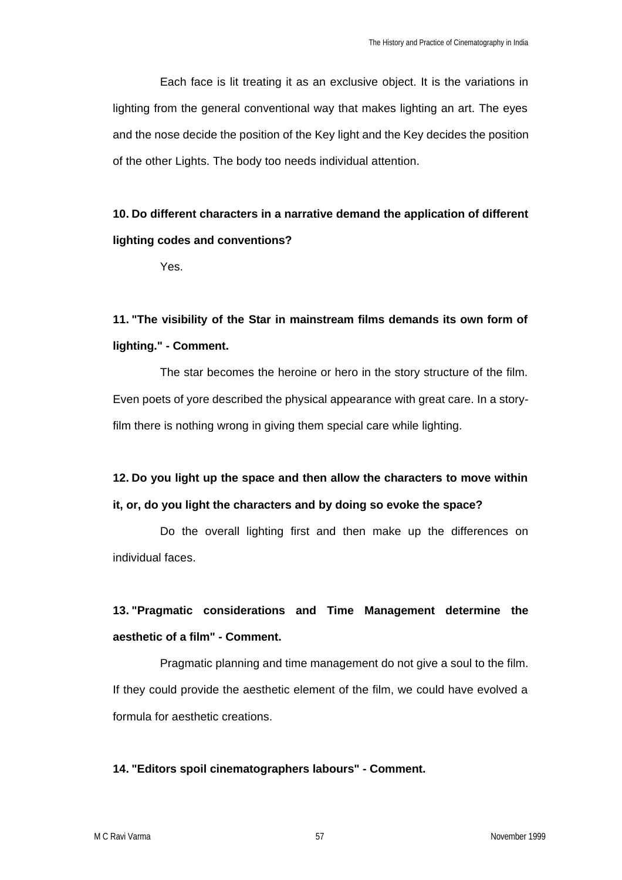Each face is lit treating it as an exclusive object. It is the variations in lighting from the general conventional way that makes lighting an art. The eyes and the nose decide the position of the Key light and the Key decides the position of the other Lights. The body too needs individual attention.

# **10. Do different characters in a narrative demand the application of different lighting codes and conventions?**

Yes.

## **11. "The visibility of the Star in mainstream films demands its own form of lighting." - Comment.**

The star becomes the heroine or hero in the story structure of the film. Even poets of yore described the physical appearance with great care. In a storyfilm there is nothing wrong in giving them special care while lighting.

# **12. Do you light up the space and then allow the characters to move within it, or, do you light the characters and by doing so evoke the space?**

Do the overall lighting first and then make up the differences on individual faces.

# **13. "Pragmatic considerations and Time Management determine the aesthetic of a film" - Comment.**

Pragmatic planning and time management do not give a soul to the film. If they could provide the aesthetic element of the film, we could have evolved a formula for aesthetic creations.

## **14. "Editors spoil cinematographers labours" - Comment.**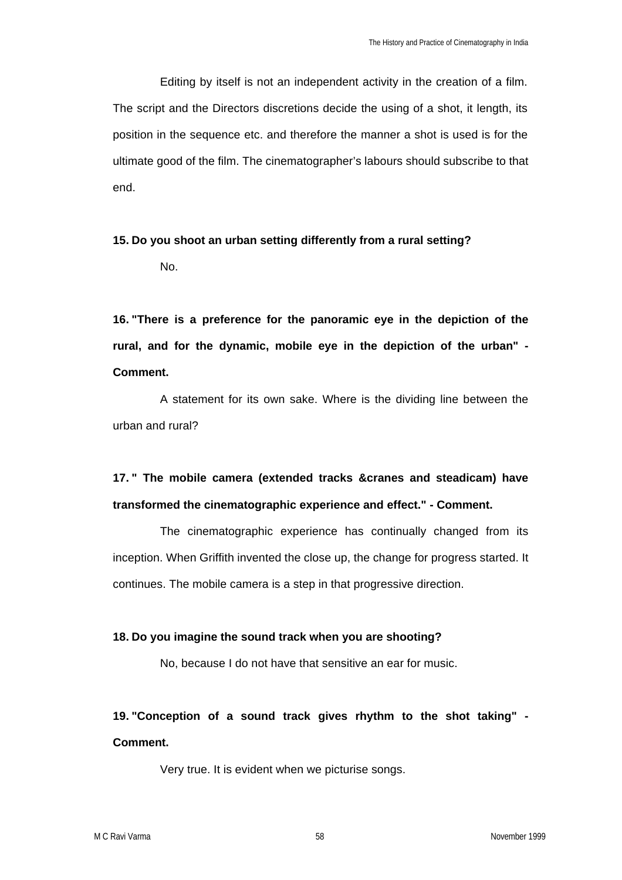Editing by itself is not an independent activity in the creation of a film. The script and the Directors discretions decide the using of a shot, it length, its position in the sequence etc. and therefore the manner a shot is used is for the ultimate good of the film. The cinematographer's labours should subscribe to that end.

# **15. Do you shoot an urban setting differently from a rural setting?**

No.

**16. "There is a preference for the panoramic eye in the depiction of the rural, and for the dynamic, mobile eye in the depiction of the urban" - Comment.**

A statement for its own sake. Where is the dividing line between the urban and rural?

# **17. " The mobile camera (extended tracks &cranes and steadicam) have transformed the cinematographic experience and effect." - Comment.**

The cinematographic experience has continually changed from its inception. When Griffith invented the close up, the change for progress started. It continues. The mobile camera is a step in that progressive direction.

## **18. Do you imagine the sound track when you are shooting?**

No, because I do not have that sensitive an ear for music.

**19. "Conception of a sound track gives rhythm to the shot taking" - Comment.**

Very true. It is evident when we picturise songs.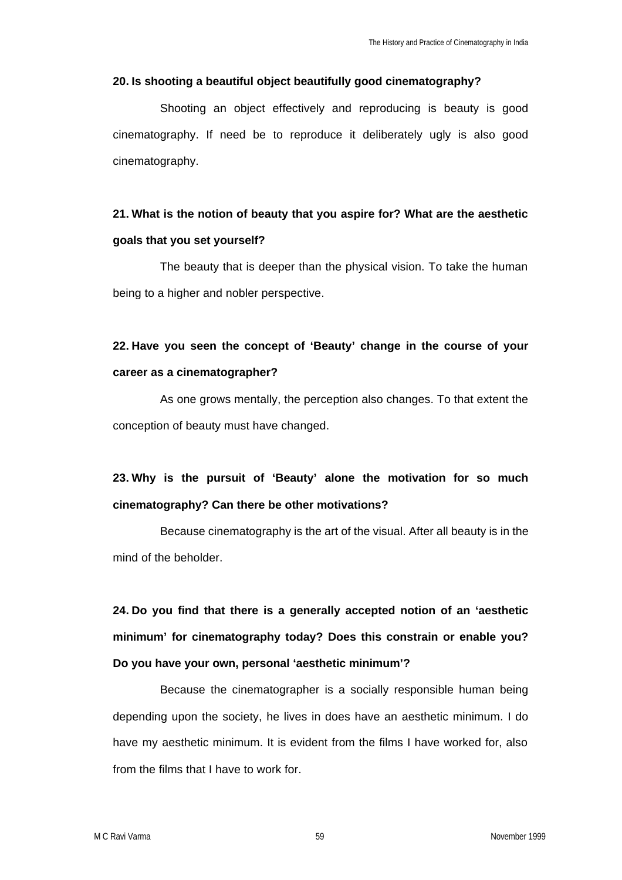### **20. Is shooting a beautiful object beautifully good cinematography?**

Shooting an object effectively and reproducing is beauty is good cinematography. If need be to reproduce it deliberately ugly is also good cinematography.

## **21. What is the notion of beauty that you aspire for? What are the aesthetic goals that you set yourself?**

The beauty that is deeper than the physical vision. To take the human being to a higher and nobler perspective.

## **22. Have you seen the concept of 'Beauty' change in the course of your career as a cinematographer?**

As one grows mentally, the perception also changes. To that extent the conception of beauty must have changed.

## **23. Why is the pursuit of 'Beauty' alone the motivation for so much cinematography? Can there be other motivations?**

Because cinematography is the art of the visual. After all beauty is in the mind of the beholder.

**24. Do you find that there is a generally accepted notion of an 'aesthetic minimum' for cinematography today? Does this constrain or enable you? Do you have your own, personal 'aesthetic minimum'?**

Because the cinematographer is a socially responsible human being depending upon the society, he lives in does have an aesthetic minimum. I do have my aesthetic minimum. It is evident from the films I have worked for, also from the films that I have to work for.